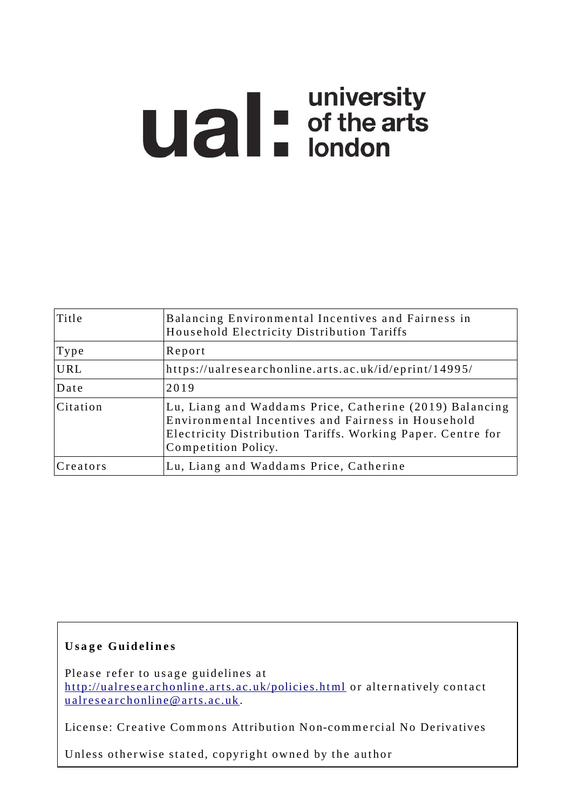# **university**<br> **u** of the arts<br>
london

| Title    | Balancing Environmental Incentives and Fairness in<br>Household Electricity Distribution Tariffs                                                                                                    |
|----------|-----------------------------------------------------------------------------------------------------------------------------------------------------------------------------------------------------|
| Type     | Report                                                                                                                                                                                              |
| URL      | https://ualresearchonline.arts.ac.uk/id/eprint/14995/                                                                                                                                               |
| Date     | 2019                                                                                                                                                                                                |
| Citation | Lu, Liang and Waddams Price, Catherine (2019) Balancing<br>Environmental Incentives and Fairness in Household<br>Electricity Distribution Tariffs. Working Paper. Centre for<br>Competition Policy. |
| Creators | Lu, Liang and Waddams Price, Catherine                                                                                                                                                              |

### **U s a g e Gui d e li n e s**

Please refer to usage guidelines at http://ualresearchonline.arts.ac.uk/policies.html or alternatively contact u alres e archonline@ arts.ac.uk.

License: Creative Commons Attribution Non-commercial No Derivatives

Unless otherwise stated, copyright owned by the author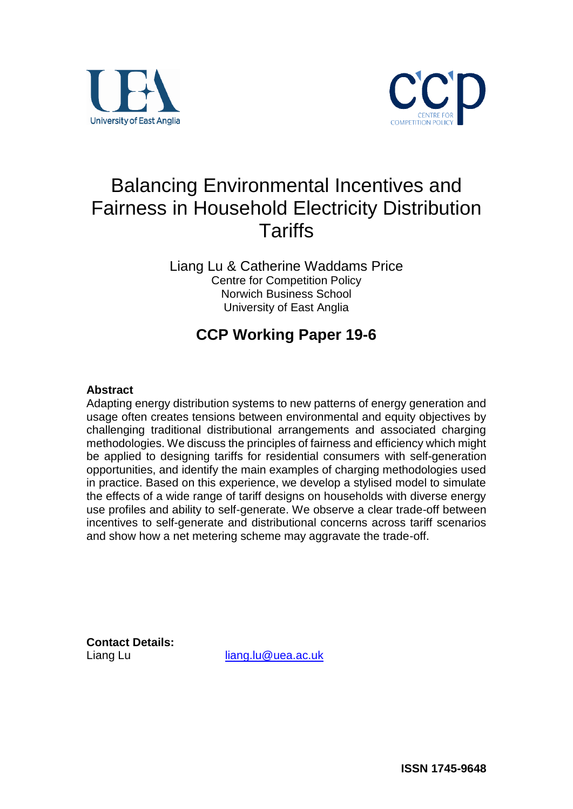



# Balancing Environmental Incentives and Fairness in Household Electricity Distribution **Tariffs**

Liang Lu & Catherine Waddams Price Centre for Competition Policy Norwich Business School University of East Anglia

# **CCP Working Paper 19-6**

### **Abstract**

Adapting energy distribution systems to new patterns of energy generation and usage often creates tensions between environmental and equity objectives by challenging traditional distributional arrangements and associated charging methodologies. We discuss the principles of fairness and efficiency which might be applied to designing tariffs for residential consumers with self-generation opportunities, and identify the main examples of charging methodologies used in practice. Based on this experience, we develop a stylised model to simulate the effects of a wide range of tariff designs on households with diverse energy use profiles and ability to self-generate. We observe a clear trade-off between incentives to self-generate and distributional concerns across tariff scenarios and show how a net metering scheme may aggravate the trade-off.

**Contact Details:** 

Liang Lu [liang.lu@uea.ac.uk](mailto:liang.lu@uea.ac.uk)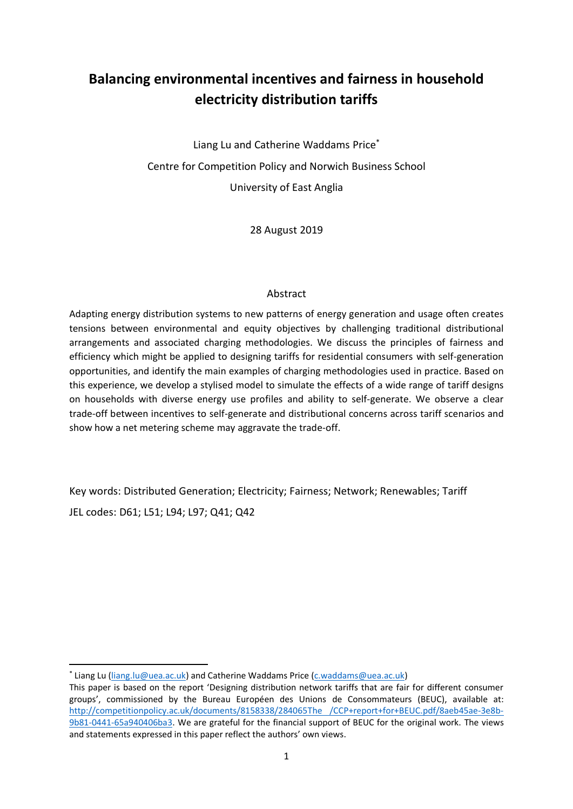# **Balancing environmental incentives and fairness in household electricity distribution tariffs**

Liang Lu and Catherine Waddams Price\* Centre for Competition Policy and Norwich Business School University of East Anglia

28 August 2019

### Abstract

Adapting energy distribution systems to new patterns of energy generation and usage often creates tensions between environmental and equity objectives by challenging traditional distributional arrangements and associated charging methodologies. We discuss the principles of fairness and efficiency which might be applied to designing tariffs for residential consumers with self-generation opportunities, and identify the main examples of charging methodologies used in practice. Based on this experience, we develop a stylised model to simulate the effects of a wide range of tariff designs on households with diverse energy use profiles and ability to self-generate. We observe a clear trade-off between incentives to self-generate and distributional concerns across tariff scenarios and show how a net metering scheme may aggravate the trade-off.

Key words: Distributed Generation; Electricity; Fairness; Network; Renewables; Tariff JEL codes: D61; L51; L94; L97; Q41; Q42

<sup>\*</sup> Liang Lu [\(liang.lu@uea.ac.uk\)](mailto:liang.lu@uea.ac.uk) and Catherine Waddams Price [\(c.waddams@uea.ac.uk\)](mailto:c.waddams@uea.ac.uk)

This paper is based on the report 'Designing distribution network tariffs that are fair for different consumer groups', commissioned by the Bureau Européen des Unions de Consommateurs (BEUC), available at: [http://competitionpolicy.ac.uk/documents/8158338/284065The /CCP+report+for+BEUC.pdf/8aeb45ae-3e8b-](http://competitionpolicy.ac.uk/documents/8158338/28406552/CCP+report+for+BEUC.pdf/8aeb45ae-3e8b-9b81-0441-65a940406ba3)[9b81-0441-65a940406ba3.](http://competitionpolicy.ac.uk/documents/8158338/28406552/CCP+report+for+BEUC.pdf/8aeb45ae-3e8b-9b81-0441-65a940406ba3) We are grateful for the financial support of BEUC for the original work. The views and statements expressed in this paper reflect the authors' own views.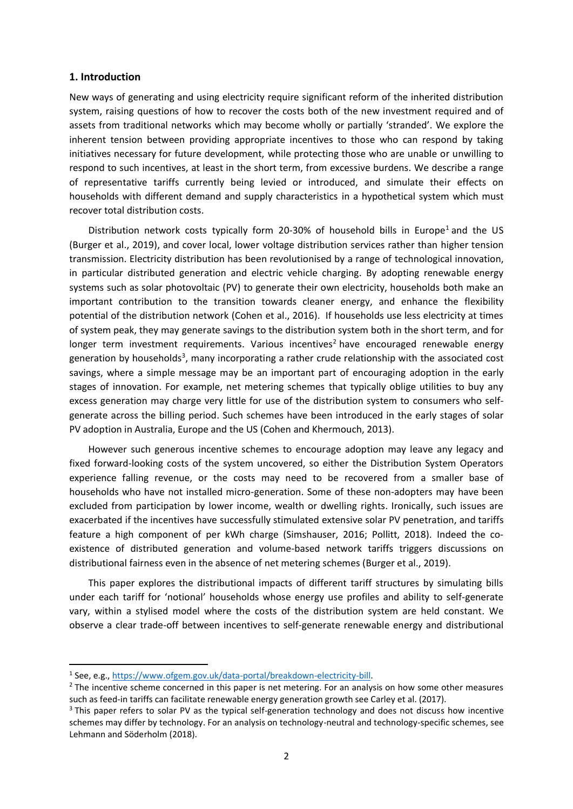### **1. Introduction**

New ways of generating and using electricity require significant reform of the inherited distribution system, raising questions of how to recover the costs both of the new investment required and of assets from traditional networks which may become wholly or partially 'stranded'. We explore the inherent tension between providing appropriate incentives to those who can respond by taking initiatives necessary for future development, while protecting those who are unable or unwilling to respond to such incentives, at least in the short term, from excessive burdens. We describe a range of representative tariffs currently being levied or introduced, and simulate their effects on households with different demand and supply characteristics in a hypothetical system which must recover total distribution costs.

Distribution network costs typically form 20-30% of household bills in Europe<sup>1</sup> and the US (Burger et al., 2019), and cover local, lower voltage distribution services rather than higher tension transmission. Electricity distribution has been revolutionised by a range of technological innovation, in particular distributed generation and electric vehicle charging. By adopting renewable energy systems such as solar photovoltaic (PV) to generate their own electricity, households both make an important contribution to the transition towards cleaner energy, and enhance the flexibility potential of the distribution network (Cohen et al., 2016). If households use less electricity at times of system peak, they may generate savings to the distribution system both in the short term, and for longer term investment requirements. Various incentives<sup>2</sup> have encouraged renewable energy generation by households<sup>3</sup>, many incorporating a rather crude relationship with the associated cost savings, where a simple message may be an important part of encouraging adoption in the early stages of innovation. For example, net metering schemes that typically oblige utilities to buy any excess generation may charge very little for use of the distribution system to consumers who selfgenerate across the billing period. Such schemes have been introduced in the early stages of solar PV adoption in Australia, Europe and the US (Cohen and Khermouch, 2013).

However such generous incentive schemes to encourage adoption may leave any legacy and fixed forward-looking costs of the system uncovered, so either the Distribution System Operators experience falling revenue, or the costs may need to be recovered from a smaller base of households who have not installed micro-generation. Some of these non-adopters may have been excluded from participation by lower income, wealth or dwelling rights. Ironically, such issues are exacerbated if the incentives have successfully stimulated extensive solar PV penetration, and tariffs feature a high component of per kWh charge (Simshauser, 2016; Pollitt, 2018). Indeed the coexistence of distributed generation and volume-based network tariffs triggers discussions on distributional fairness even in the absence of net metering schemes (Burger et al., 2019).

This paper explores the distributional impacts of different tariff structures by simulating bills under each tariff for 'notional' households whose energy use profiles and ability to self-generate vary, within a stylised model where the costs of the distribution system are held constant. We observe a clear trade-off between incentives to self-generate renewable energy and distributional

<sup>&</sup>lt;sup>1</sup> See, e.g., [https://www.ofgem.gov.uk/data-portal/breakdown-electricity-bill.](https://www.ofgem.gov.uk/data-portal/breakdown-electricity-bill)

<sup>&</sup>lt;sup>2</sup> The incentive scheme concerned in this paper is net metering. For an analysis on how some other measures such as feed-in tariffs can facilitate renewable energy generation growth see Carley et al. (2017).

<sup>&</sup>lt;sup>3</sup> This paper refers to solar PV as the typical self-generation technology and does not discuss how incentive schemes may differ by technology. For an analysis on technology-neutral and technology-specific schemes, see Lehmann and Söderholm (2018).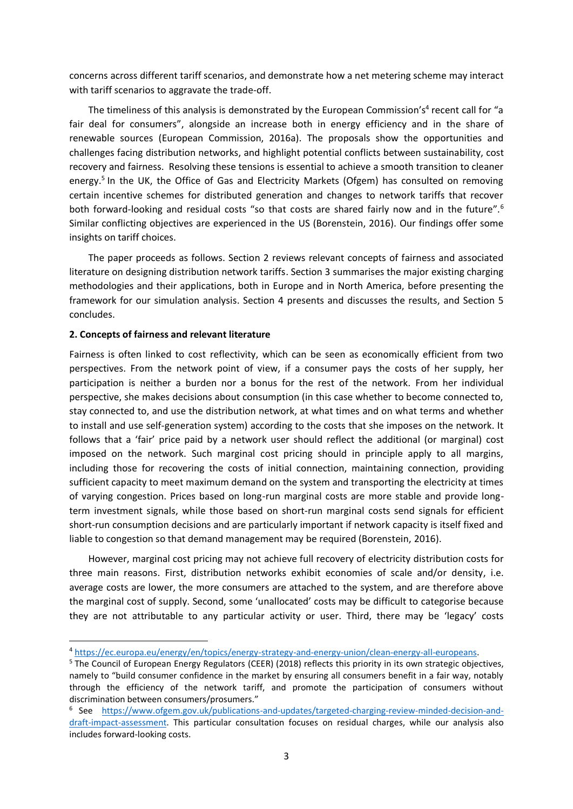concerns across different tariff scenarios, and demonstrate how a net metering scheme may interact with tariff scenarios to aggravate the trade-off.

The timeliness of this analysis is demonstrated by the European Commission's<sup>4</sup> recent call for "a fair deal for consumers", alongside an increase both in energy efficiency and in the share of renewable sources (European Commission, 2016a). The proposals show the opportunities and challenges facing distribution networks, and highlight potential conflicts between sustainability, cost recovery and fairness. Resolving these tensions is essential to achieve a smooth transition to cleaner energy.<sup>5</sup> In the UK, the Office of Gas and Electricity Markets (Ofgem) has consulted on removing certain incentive schemes for distributed generation and changes to network tariffs that recover both forward-looking and residual costs "so that costs are shared fairly now and in the future".<sup>6</sup> Similar conflicting objectives are experienced in the US (Borenstein, 2016). Our findings offer some insights on tariff choices.

The paper proceeds as follows. Section 2 reviews relevant concepts of fairness and associated literature on designing distribution network tariffs. Section 3 summarises the major existing charging methodologies and their applications, both in Europe and in North America, before presenting the framework for our simulation analysis. Section 4 presents and discusses the results, and Section 5 concludes.

### **2. Concepts of fairness and relevant literature**

Fairness is often linked to cost reflectivity, which can be seen as economically efficient from two perspectives. From the network point of view, if a consumer pays the costs of her supply, her participation is neither a burden nor a bonus for the rest of the network. From her individual perspective, she makes decisions about consumption (in this case whether to become connected to, stay connected to, and use the distribution network, at what times and on what terms and whether to install and use self-generation system) according to the costs that she imposes on the network. It follows that a 'fair' price paid by a network user should reflect the additional (or marginal) cost imposed on the network. Such marginal cost pricing should in principle apply to all margins, including those for recovering the costs of initial connection, maintaining connection, providing sufficient capacity to meet maximum demand on the system and transporting the electricity at times of varying congestion. Prices based on long-run marginal costs are more stable and provide longterm investment signals, while those based on short-run marginal costs send signals for efficient short-run consumption decisions and are particularly important if network capacity is itself fixed and liable to congestion so that demand management may be required (Borenstein, 2016).

However, marginal cost pricing may not achieve full recovery of electricity distribution costs for three main reasons. First, distribution networks exhibit economies of scale and/or density, i.e. average costs are lower, the more consumers are attached to the system, and are therefore above the marginal cost of supply. Second, some 'unallocated' costs may be difficult to categorise because they are not attributable to any particular activity or user. Third, there may be 'legacy' costs

<sup>4</sup> [https://ec.europa.eu/energy/en/topics/energy-strategy-and-energy-union/clean-energy-all-europeans.](https://ec.europa.eu/energy/en/topics/energy-strategy-and-energy-union/clean-energy-all-europeans)

<sup>5</sup> The Council of European Energy Regulators (CEER) (2018) reflects this priority in its own strategic objectives, namely to "build consumer confidence in the market by ensuring all consumers benefit in a fair way, notably through the efficiency of the network tariff, and promote the participation of consumers without discrimination between consumers/prosumers."

<sup>&</sup>lt;sup>6</sup> See [https://www.ofgem.gov.uk/publications-and-updates/targeted-charging-review-minded-decision-and](https://www.ofgem.gov.uk/publications-and-updates/targeted-charging-review-minded-decision-and-draft-impact-assessment)[draft-impact-assessment.](https://www.ofgem.gov.uk/publications-and-updates/targeted-charging-review-minded-decision-and-draft-impact-assessment) This particular consultation focuses on residual charges, while our analysis also includes forward-looking costs.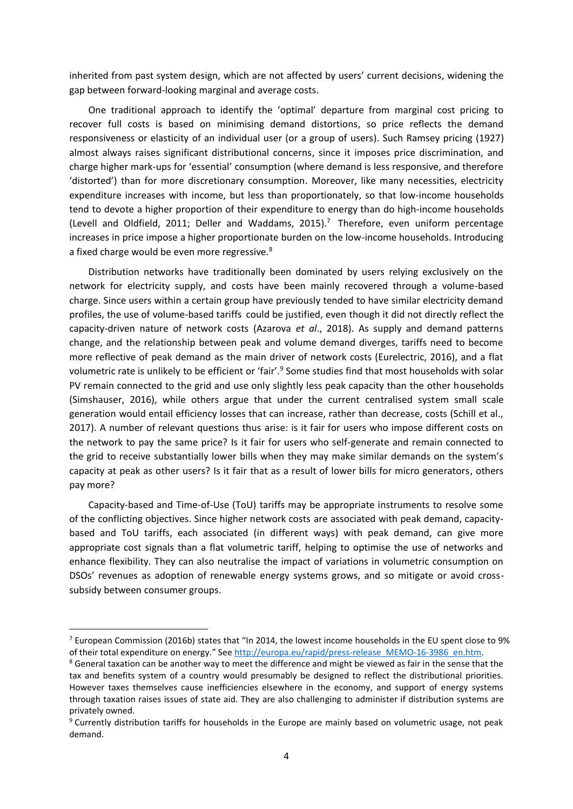inherited from past system design, which are not affected by users' current decisions, widening the gap between forward-looking marginal and average costs.

One traditional approach to identify the 'optimal' departure from marginal cost pricing to recover full costs is based on minimising demand distortions, so price reflects the demand responsiveness or elasticity of an individual user (or a group of users). Such Ramsey pricing (1927) almost always raises significant distributional concerns, since it imposes price discrimination, and charge higher mark-ups for 'essential' consumption (where demand is less responsive, and therefore 'distorted') than for more discretionary consumption. Moreover, like many necessities, electricity expenditure increases with income, but less than proportionately, so that low-income households tend to devote a higher proportion of their expenditure to energy than do high-income households (Levell and Oldfield, 2011; Deller and Waddams, 2015). $^7$  Therefore, even uniform percentage increases in price impose a higher proportionate burden on the low-income households. Introducing a fixed charge would be even more regressive.<sup>8</sup>

Distribution networks have traditionally been dominated by users relying exclusively on the network for electricity supply, and costs have been mainly recovered through a volume-based charge. Since users within a certain group have previously tended to have similar electricity demand profiles, the use of volume-based tariffs could be justified, even though it did not directly reflect the capacity-driven nature of network costs (Azarova *et al*., 2018). As supply and demand patterns change, and the relationship between peak and volume demand diverges, tariffs need to become more reflective of peak demand as the main driver of network costs (Eurelectric, 2016), and a flat volumetric rate is unlikely to be efficient or 'fair'.<sup>9</sup> Some studies find that most households with solar PV remain connected to the grid and use only slightly less peak capacity than the other households (Simshauser, 2016), while others argue that under the current centralised system small scale generation would entail efficiency losses that can increase, rather than decrease, costs (Schill et al., 2017). A number of relevant questions thus arise: is it fair for users who impose different costs on the network to pay the same price? Is it fair for users who self-generate and remain connected to the grid to receive substantially lower bills when they may make similar demands on the system's capacity at peak as other users? Is it fair that as a result of lower bills for micro generators, others pay more?

Capacity-based and Time-of-Use (ToU) tariffs may be appropriate instruments to resolve some of the conflicting objectives. Since higher network costs are associated with peak demand, capacitybased and ToU tariffs, each associated (in different ways) with peak demand, can give more appropriate cost signals than a flat volumetric tariff, helping to optimise the use of networks and enhance flexibility. They can also neutralise the impact of variations in volumetric consumption on DSOs' revenues as adoption of renewable energy systems grows, and so mitigate or avoid crosssubsidy between consumer groups.

 $7$  European Commission (2016b) states that "In 2014, the lowest income households in the EU spent close to 9% of their total expenditure on energy." See [http://europa.eu/rapid/press-release\\_MEMO-16-3986\\_en.htm.](http://europa.eu/rapid/press-release_MEMO-16-3986_en.htm) 

<sup>&</sup>lt;sup>8</sup> General taxation can be another way to meet the difference and might be viewed as fair in the sense that the tax and benefits system of a country would presumably be designed to reflect the distributional priorities. However taxes themselves cause inefficiencies elsewhere in the economy, and support of energy systems through taxation raises issues of state aid. They are also challenging to administer if distribution systems are privately owned.

<sup>9</sup> Currently distribution tariffs for households in the Europe are mainly based on volumetric usage, not peak demand.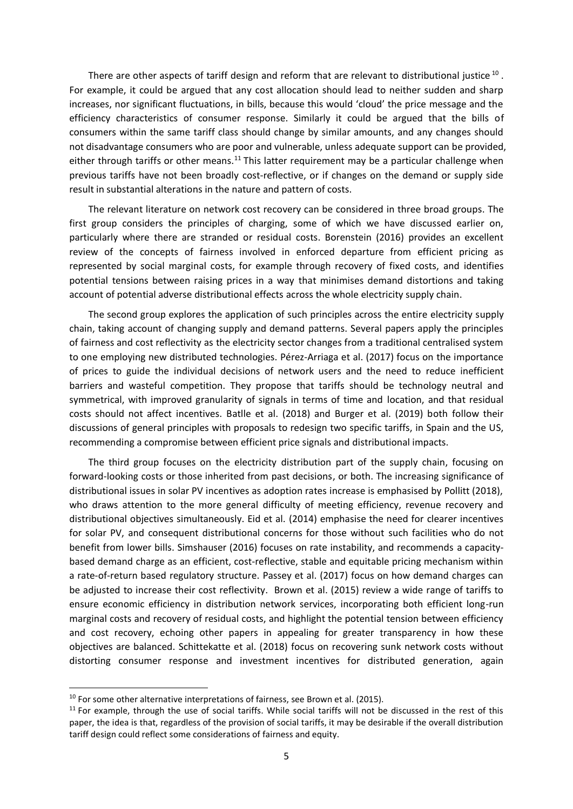There are other aspects of tariff design and reform that are relevant to distributional justice  $^{10}$  . For example, it could be argued that any cost allocation should lead to neither sudden and sharp increases, nor significant fluctuations, in bills, because this would 'cloud' the price message and the efficiency characteristics of consumer response. Similarly it could be argued that the bills of consumers within the same tariff class should change by similar amounts, and any changes should not disadvantage consumers who are poor and vulnerable, unless adequate support can be provided, either through tariffs or other means.<sup>11</sup> This latter requirement may be a particular challenge when previous tariffs have not been broadly cost-reflective, or if changes on the demand or supply side result in substantial alterations in the nature and pattern of costs.

The relevant literature on network cost recovery can be considered in three broad groups. The first group considers the principles of charging, some of which we have discussed earlier on, particularly where there are stranded or residual costs. Borenstein (2016) provides an excellent review of the concepts of fairness involved in enforced departure from efficient pricing as represented by social marginal costs, for example through recovery of fixed costs, and identifies potential tensions between raising prices in a way that minimises demand distortions and taking account of potential adverse distributional effects across the whole electricity supply chain.

The second group explores the application of such principles across the entire electricity supply chain, taking account of changing supply and demand patterns. Several papers apply the principles of fairness and cost reflectivity as the electricity sector changes from a traditional centralised system to one employing new distributed technologies. Pérez-Arriaga et al. (2017) focus on the importance of prices to guide the individual decisions of network users and the need to reduce inefficient barriers and wasteful competition. They propose that tariffs should be technology neutral and symmetrical, with improved granularity of signals in terms of time and location, and that residual costs should not affect incentives. Batlle et al. (2018) and Burger et al. (2019) both follow their discussions of general principles with proposals to redesign two specific tariffs, in Spain and the US, recommending a compromise between efficient price signals and distributional impacts.

The third group focuses on the electricity distribution part of the supply chain, focusing on forward-looking costs or those inherited from past decisions, or both. The increasing significance of distributional issues in solar PV incentives as adoption rates increase is emphasised by Pollitt (2018), who draws attention to the more general difficulty of meeting efficiency, revenue recovery and distributional objectives simultaneously. Eid et al. (2014) emphasise the need for clearer incentives for solar PV, and consequent distributional concerns for those without such facilities who do not benefit from lower bills. Simshauser (2016) focuses on rate instability, and recommends a capacitybased demand charge as an efficient, cost-reflective, stable and equitable pricing mechanism within a rate-of-return based regulatory structure. Passey et al. (2017) focus on how demand charges can be adjusted to increase their cost reflectivity. Brown et al. (2015) review a wide range of tariffs to ensure economic efficiency in distribution network services, incorporating both efficient long-run marginal costs and recovery of residual costs, and highlight the potential tension between efficiency and cost recovery, echoing other papers in appealing for greater transparency in how these objectives are balanced. Schittekatte et al. (2018) focus on recovering sunk network costs without distorting consumer response and investment incentives for distributed generation, again

 $10$  For some other alternative interpretations of fairness, see Brown et al. (2015).

<sup>&</sup>lt;sup>11</sup> For example, through the use of social tariffs. While social tariffs will not be discussed in the rest of this paper, the idea is that, regardless of the provision of social tariffs, it may be desirable if the overall distribution tariff design could reflect some considerations of fairness and equity.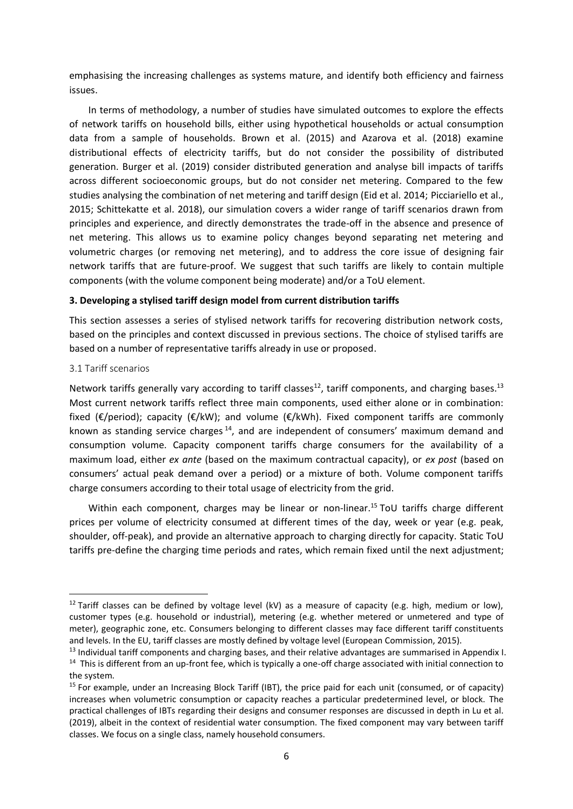emphasising the increasing challenges as systems mature, and identify both efficiency and fairness issues.

In terms of methodology, a number of studies have simulated outcomes to explore the effects of network tariffs on household bills, either using hypothetical households or actual consumption data from a sample of households. Brown et al. (2015) and Azarova et al. (2018) examine distributional effects of electricity tariffs, but do not consider the possibility of distributed generation. Burger et al. (2019) consider distributed generation and analyse bill impacts of tariffs across different socioeconomic groups, but do not consider net metering. Compared to the few studies analysing the combination of net metering and tariff design (Eid et al. 2014; Picciariello et al., 2015; Schittekatte et al. 2018), our simulation covers a wider range of tariff scenarios drawn from principles and experience, and directly demonstrates the trade-off in the absence and presence of net metering. This allows us to examine policy changes beyond separating net metering and volumetric charges (or removing net metering), and to address the core issue of designing fair network tariffs that are future-proof. We suggest that such tariffs are likely to contain multiple components (with the volume component being moderate) and/or a ToU element.

### **3. Developing a stylised tariff design model from current distribution tariffs**

This section assesses a series of stylised network tariffs for recovering distribution network costs, based on the principles and context discussed in previous sections. The choice of stylised tariffs are based on a number of representative tariffs already in use or proposed.

### 3.1 Tariff scenarios

Network tariffs generally vary according to tariff classes<sup>12</sup>, tariff components, and charging bases.<sup>13</sup> Most current network tariffs reflect three main components, used either alone or in combination: fixed ( $E/$ period); capacity ( $E/KW$ ); and volume ( $E/KW$ h). Fixed component tariffs are commonly known as standing service charges<sup>14</sup>, and are independent of consumers' maximum demand and consumption volume. Capacity component tariffs charge consumers for the availability of a maximum load, either *ex ante* (based on the maximum contractual capacity), or *ex post* (based on consumers' actual peak demand over a period) or a mixture of both. Volume component tariffs charge consumers according to their total usage of electricity from the grid.

Within each component, charges may be linear or non-linear.<sup>15</sup> ToU tariffs charge different prices per volume of electricity consumed at different times of the day, week or year (e.g. peak, shoulder, off-peak), and provide an alternative approach to charging directly for capacity. Static ToU tariffs pre-define the charging time periods and rates, which remain fixed until the next adjustment;

<sup>&</sup>lt;sup>12</sup> Tariff classes can be defined by voltage level (kV) as a measure of capacity (e.g. high, medium or low), customer types (e.g. household or industrial), metering (e.g. whether metered or unmetered and type of meter), geographic zone, etc. Consumers belonging to different classes may face different tariff constituents and levels. In the EU, tariff classes are mostly defined by voltage level (European Commission, 2015).

<sup>&</sup>lt;sup>13</sup> Individual tariff components and charging bases, and their relative advantages are summarised in Appendix I. <sup>14</sup> This is different from an up-front fee, which is typically a one-off charge associated with initial connection to the system.

<sup>&</sup>lt;sup>15</sup> For example, under an Increasing Block Tariff (IBT), the price paid for each unit (consumed, or of capacity) increases when volumetric consumption or capacity reaches a particular predetermined level, or block. The practical challenges of IBTs regarding their designs and consumer responses are discussed in depth in Lu et al. (2019), albeit in the context of residential water consumption. The fixed component may vary between tariff classes. We focus on a single class, namely household consumers.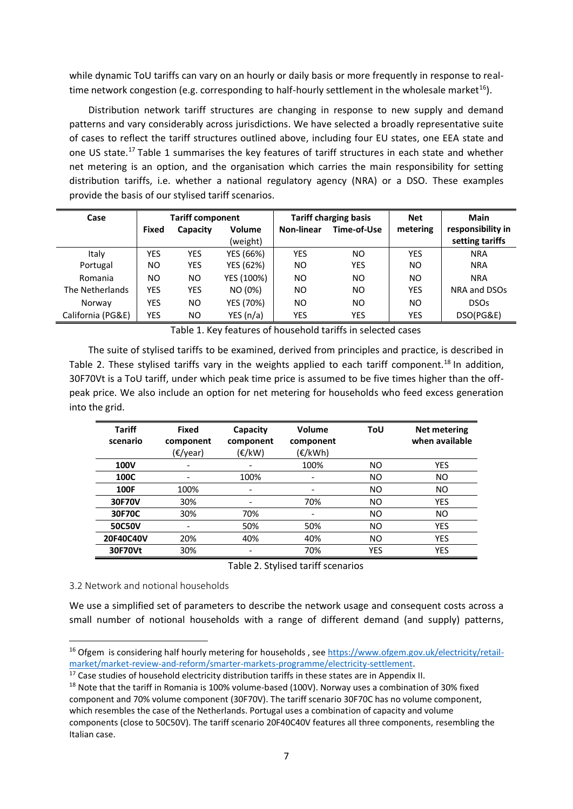while dynamic ToU tariffs can vary on an hourly or daily basis or more frequently in response to realtime network congestion (e.g. corresponding to half-hourly settlement in the wholesale market<sup>16</sup>).

Distribution network tariff structures are changing in response to new supply and demand patterns and vary considerably across jurisdictions. We have selected a broadly representative suite of cases to reflect the tariff structures outlined above, including four EU states, one EEA state and one US state.<sup>17</sup> Table 1 summarises the key features of tariff structures in each state and whether net metering is an option, and the organisation which carries the main responsibility for setting distribution tariffs, i.e. whether a national regulatory agency (NRA) or a DSO. These examples provide the basis of our stylised tariff scenarios.

| Case              | <b>Tariff component</b> |           |               | <b>Tariff charging basis</b> |             | <b>Net</b> | <b>Main</b>       |
|-------------------|-------------------------|-----------|---------------|------------------------------|-------------|------------|-------------------|
|                   | Fixed                   | Capacity  | <b>Volume</b> | Non-linear                   | Time-of-Use | metering   | responsibility in |
|                   |                         |           | (weight)      |                              |             |            | setting tariffs   |
| Italy             | YES                     | YES       | YES (66%)     | <b>YES</b>                   | NO          | <b>YES</b> | <b>NRA</b>        |
| Portugal          | ΝO                      | YES       | YES (62%)     | NO.                          | <b>YES</b>  | <b>NO</b>  | <b>NRA</b>        |
| Romania           | ΝO                      | <b>NO</b> | YES (100%)    | NO.                          | NO          | NO.        | <b>NRA</b>        |
| The Netherlands   | YES                     | YES       | NO (0%)       | NO.                          | ΝO          | <b>YES</b> | NRA and DSOs      |
| Norway            | YES                     | <b>NO</b> | YES (70%)     | NO.                          | NΟ          | NO.        | <b>DSOs</b>       |
| California (PG&E) | YES                     | NO.       | YES $(n/a)$   | YES                          | YES         | YES        | DSO(PG&E)         |

Table 1. Key features of household tariffs in selected cases

The suite of stylised tariffs to be examined, derived from principles and practice, is described in Table 2. These stylised tariffs vary in the weights applied to each tariff component.<sup>18</sup> In addition, 30F70Vt is a ToU tariff, under which peak time price is assumed to be five times higher than the offpeak price. We also include an option for net metering for households who feed excess generation into the grid.

| <b>Tariff</b><br>scenario | <b>Fixed</b><br>component<br>(€/year) | Capacity<br>component<br>$(\varepsilon$ /kW) | Volume<br>component<br>(€/kWh) | ToU            | <b>Net metering</b><br>when available |
|---------------------------|---------------------------------------|----------------------------------------------|--------------------------------|----------------|---------------------------------------|
| 100V                      | -                                     | -                                            | 100%                           | N <sub>O</sub> | <b>YES</b>                            |
| 100C                      | $\qquad \qquad \blacksquare$          | 100%                                         | $\overline{\phantom{a}}$       | NO.            | <b>NO</b>                             |
| 100F                      | 100%                                  | $\overline{\phantom{a}}$                     | -                              | <b>NO</b>      | <b>NO</b>                             |
| 30F70V                    | 30%                                   | -                                            | 70%                            | NO.            | <b>YES</b>                            |
| 30F70C                    | 30%                                   | 70%                                          | $\overline{\phantom{a}}$       | <b>NO</b>      | <b>NO</b>                             |
| 50C50V                    |                                       | 50%                                          | 50%                            | <b>NO</b>      | <b>YES</b>                            |
| 20F40C40V                 | 20%                                   | 40%                                          | 40%                            | N <sub>O</sub> | <b>YES</b>                            |
| 30F70Vt                   | 30%                                   | -                                            | 70%                            | <b>YES</b>     | <b>YES</b>                            |

Table 2. Stylised tariff scenarios

3.2 Network and notional households

We use a simplified set of parameters to describe the network usage and consequent costs across a small number of notional households with a range of different demand (and supply) patterns,

<sup>&</sup>lt;sup>16</sup> Ofgem is considering half hourly metering for households, see [https://www.ofgem.gov.uk/electricity/retail](https://www.ofgem.gov.uk/electricity/retail-market/market-review-and-reform/smarter-markets-programme/electricity-settlement)[market/market-review-and-reform/smarter-markets-programme/electricity-settlement.](https://www.ofgem.gov.uk/electricity/retail-market/market-review-and-reform/smarter-markets-programme/electricity-settlement)

<sup>&</sup>lt;sup>17</sup> Case studies of household electricity distribution tariffs in these states are in Appendix II.

<sup>&</sup>lt;sup>18</sup> Note that the tariff in Romania is 100% volume-based (100V). Norway uses a combination of 30% fixed component and 70% volume component (30F70V). The tariff scenario 30F70C has no volume component, which resembles the case of the Netherlands. Portugal uses a combination of capacity and volume components (close to 50C50V). The tariff scenario 20F40C40V features all three components, resembling the Italian case.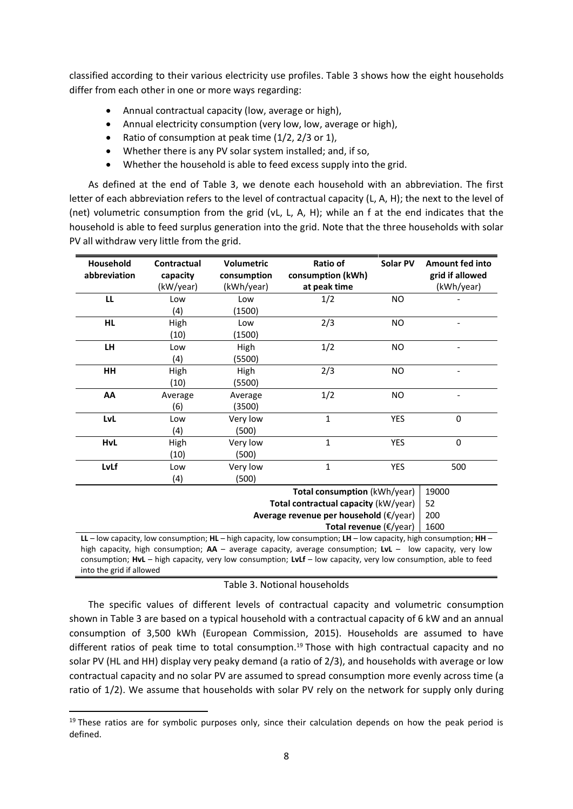classified according to their various electricity use profiles. Table 3 shows how the eight households differ from each other in one or more ways regarding:

- Annual contractual capacity (low, average or high),
- Annual electricity consumption (very low, low, average or high),
- Ratio of consumption at peak time (1/2, 2/3 or 1),
- Whether there is any PV solar system installed; and, if so,
- Whether the household is able to feed excess supply into the grid.

As defined at the end of Table 3, we denote each household with an abbreviation. The first letter of each abbreviation refers to the level of contractual capacity (L, A, H); the next to the level of (net) volumetric consumption from the grid (vL, L, A, H); while an f at the end indicates that the household is able to feed surplus generation into the grid. Note that the three households with solar PV all withdraw very little from the grid.

| Household<br>abbreviation | Contractual<br>capacity<br>(kW/year)                                                                                                                  | <b>Volumetric</b><br>consumption<br>(kWh/year) | Ratio of<br>consumption (kWh)<br>at peak time                              | Solar PV  | <b>Amount fed into</b><br>grid if allowed<br>(kWh/year) |  |  |  |  |
|---------------------------|-------------------------------------------------------------------------------------------------------------------------------------------------------|------------------------------------------------|----------------------------------------------------------------------------|-----------|---------------------------------------------------------|--|--|--|--|
| LL                        | Low                                                                                                                                                   | Low                                            | 1/2                                                                        | NO.       |                                                         |  |  |  |  |
|                           | (4)                                                                                                                                                   | (1500)                                         |                                                                            |           |                                                         |  |  |  |  |
| <b>HL</b>                 | High                                                                                                                                                  | Low                                            | 2/3                                                                        | <b>NO</b> |                                                         |  |  |  |  |
|                           | (10)                                                                                                                                                  | (1500)                                         |                                                                            |           |                                                         |  |  |  |  |
| <b>LH</b>                 | Low                                                                                                                                                   | High                                           | 1/2                                                                        | NO.       |                                                         |  |  |  |  |
|                           | (4)                                                                                                                                                   | (5500)                                         |                                                                            |           |                                                         |  |  |  |  |
| HH                        | High                                                                                                                                                  | High                                           | 2/3                                                                        | NO.       |                                                         |  |  |  |  |
|                           | (10)                                                                                                                                                  | (5500)                                         |                                                                            |           |                                                         |  |  |  |  |
| AA                        | Average                                                                                                                                               | Average                                        | 1/2                                                                        | <b>NO</b> |                                                         |  |  |  |  |
|                           | (6)                                                                                                                                                   | (3500)                                         |                                                                            |           |                                                         |  |  |  |  |
| LvL                       | Low                                                                                                                                                   | Very low                                       | $\mathbf{1}$                                                               | YES       | $\mathbf 0$                                             |  |  |  |  |
|                           | (4)                                                                                                                                                   | (500)                                          |                                                                            |           |                                                         |  |  |  |  |
| <b>HvL</b>                | High                                                                                                                                                  | Very low                                       | $\mathbf{1}$                                                               | YES       | 0                                                       |  |  |  |  |
|                           | (10)                                                                                                                                                  | (500)                                          |                                                                            |           |                                                         |  |  |  |  |
| LvLf                      | Low                                                                                                                                                   | Very low                                       | $\mathbf{1}$                                                               | YES       | 500                                                     |  |  |  |  |
|                           | (4)                                                                                                                                                   | (500)                                          |                                                                            |           |                                                         |  |  |  |  |
|                           |                                                                                                                                                       |                                                | Total consumption (kWh/year)                                               |           | 19000                                                   |  |  |  |  |
|                           | 52                                                                                                                                                    |                                                |                                                                            |           |                                                         |  |  |  |  |
|                           | 200                                                                                                                                                   |                                                |                                                                            |           |                                                         |  |  |  |  |
|                           |                                                                                                                                                       |                                                | Average revenue per household (€/year)<br>Total revenue $(\epsilon$ /year) |           | 1600                                                    |  |  |  |  |
|                           | $\mathbf{H}$ – low canacity low consumption: $\mathbf{H}$ – high canacity low consumption: $\mathbf{H}$ – low canacity high consumption: $\mathbf{H}$ |                                                |                                                                            |           |                                                         |  |  |  |  |

**LL** – low capacity, low consumption; **HL** – high capacity, low consumption; **LH** – low capacity, high consumption; **HH** – high capacity, high consumption; **AA** – average capacity, average consumption; **LvL** – low capacity, very low consumption; **HvL** – high capacity, very low consumption; **LvLf** – low capacity, very low consumption, able to feed into the grid if allowed

### Table 3. Notional households

The specific values of different levels of contractual capacity and volumetric consumption shown in Table 3 are based on a typical household with a contractual capacity of 6 kW and an annual consumption of 3,500 kWh (European Commission, 2015). Households are assumed to have different ratios of peak time to total consumption. <sup>19</sup> Those with high contractual capacity and no solar PV (HL and HH) display very peaky demand (a ratio of 2/3), and households with average or low contractual capacity and no solar PV are assumed to spread consumption more evenly across time (a ratio of 1/2). We assume that households with solar PV rely on the network for supply only during

 $19$  These ratios are for symbolic purposes only, since their calculation depends on how the peak period is defined.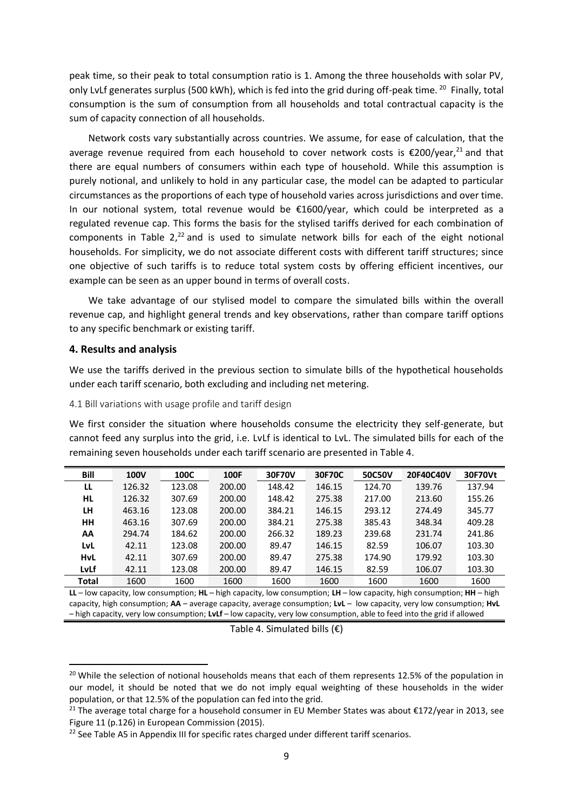peak time, so their peak to total consumption ratio is 1. Among the three households with solar PV, only LvLf generates surplus (500 kWh), which is fed into the grid during off-peak time. <sup>20</sup> Finally, total consumption is the sum of consumption from all households and total contractual capacity is the sum of capacity connection of all households.

Network costs vary substantially across countries. We assume, for ease of calculation, that the average revenue required from each household to cover network costs is  $\epsilon$ 200/year,<sup>21</sup> and that there are equal numbers of consumers within each type of household. While this assumption is purely notional, and unlikely to hold in any particular case, the model can be adapted to particular circumstances as the proportions of each type of household varies across jurisdictions and over time. In our notional system, total revenue would be €1600/year, which could be interpreted as a regulated revenue cap. This forms the basis for the stylised tariffs derived for each combination of components in Table  $2,22$  and is used to simulate network bills for each of the eight notional households. For simplicity, we do not associate different costs with different tariff structures; since one objective of such tariffs is to reduce total system costs by offering efficient incentives, our example can be seen as an upper bound in terms of overall costs.

We take advantage of our stylised model to compare the simulated bills within the overall revenue cap, and highlight general trends and key observations, rather than compare tariff options to any specific benchmark or existing tariff.

### **4. Results and analysis**

We use the tariffs derived in the previous section to simulate bills of the hypothetical households under each tariff scenario, both excluding and including net metering.

4.1 Bill variations with usage profile and tariff design

We first consider the situation where households consume the electricity they self-generate, but cannot feed any surplus into the grid, i.e. LvLf is identical to LvL. The simulated bills for each of the remaining seven households under each tariff scenario are presented in Table 4.

| Bill         | <b>100V</b> | 100C   | <b>100F</b> | 30F70V | 30F70C | 50C50V | 20F40C40V | 30F70Vt |
|--------------|-------------|--------|-------------|--------|--------|--------|-----------|---------|
| LL           | 126.32      | 123.08 | 200.00      | 148.42 | 146.15 | 124.70 | 139.76    | 137.94  |
| <b>HL</b>    | 126.32      | 307.69 | 200.00      | 148.42 | 275.38 | 217.00 | 213.60    | 155.26  |
| LH           | 463.16      | 123.08 | 200.00      | 384.21 | 146.15 | 293.12 | 274.49    | 345.77  |
| HH           | 463.16      | 307.69 | 200.00      | 384.21 | 275.38 | 385.43 | 348.34    | 409.28  |
| AA           | 294.74      | 184.62 | 200.00      | 266.32 | 189.23 | 239.68 | 231.74    | 241.86  |
| LvL          | 42.11       | 123.08 | 200.00      | 89.47  | 146.15 | 82.59  | 106.07    | 103.30  |
| <b>HvL</b>   | 42.11       | 307.69 | 200.00      | 89.47  | 275.38 | 174.90 | 179.92    | 103.30  |
| LvLf         | 42.11       | 123.08 | 200.00      | 89.47  | 146.15 | 82.59  | 106.07    | 103.30  |
| <b>Total</b> | 1600        | 1600   | 1600        | 1600   | 1600   | 1600   | 1600      | 1600    |

**LL** – low capacity, low consumption; **HL** – high capacity, low consumption; **LH** – low capacity, high consumption; **HH** – high capacity, high consumption; **AA** – average capacity, average consumption; **LvL** – low capacity, very low consumption; **HvL** – high capacity, very low consumption; **LvLf** – low capacity, very low consumption, able to feed into the grid if allowed

Table 4. Simulated bills  $(E)$ 

<sup>&</sup>lt;sup>20</sup> While the selection of notional households means that each of them represents 12.5% of the population in our model, it should be noted that we do not imply equal weighting of these households in the wider population, or that 12.5% of the population can fed into the grid.

<sup>&</sup>lt;sup>21</sup> The average total charge for a household consumer in EU Member States was about €172/year in 2013, see Figure 11 (p.126) in European Commission (2015).

<sup>&</sup>lt;sup>22</sup> See Table A5 in Appendix III for specific rates charged under different tariff scenarios.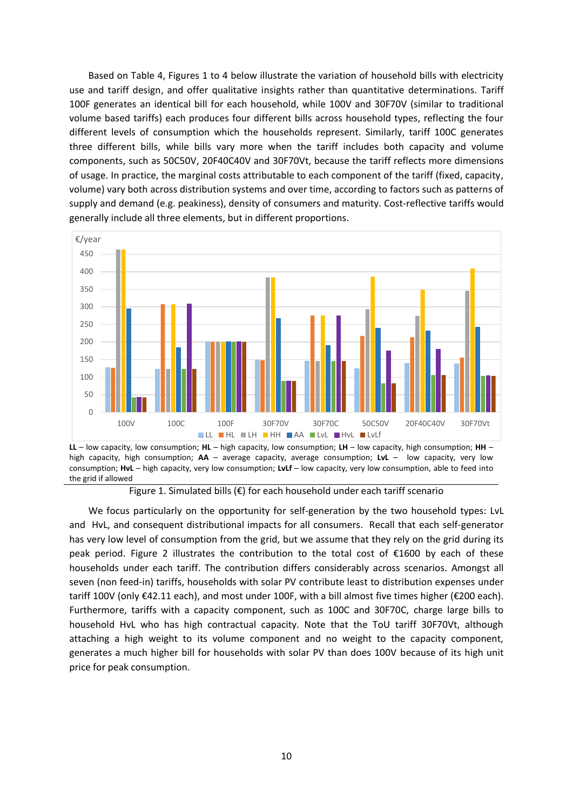Based on Table 4, Figures 1 to 4 below illustrate the variation of household bills with electricity use and tariff design, and offer qualitative insights rather than quantitative determinations. Tariff 100F generates an identical bill for each household, while 100V and 30F70V (similar to traditional volume based tariffs) each produces four different bills across household types, reflecting the four different levels of consumption which the households represent. Similarly, tariff 100C generates three different bills, while bills vary more when the tariff includes both capacity and volume components, such as 50C50V, 20F40C40V and 30F70Vt, because the tariff reflects more dimensions of usage. In practice, the marginal costs attributable to each component of the tariff (fixed, capacity, volume) vary both across distribution systems and over time, according to factors such as patterns of supply and demand (e.g. peakiness), density of consumers and maturity. Cost-reflective tariffs would generally include all three elements, but in different proportions.



**LL** – low capacity, low consumption; **HL** – high capacity, low consumption; **LH** – low capacity, high consumption; **HH** – high capacity, high consumption; **AA** – average capacity, average consumption; **LvL** – low capacity, very low consumption; **HvL** – high capacity, very low consumption; **LvLf** – low capacity, very low consumption, able to feed into the grid if allowed

Figure 1. Simulated bills ( $\epsilon$ ) for each household under each tariff scenario

We focus particularly on the opportunity for self-generation by the two household types: LvL and HvL, and consequent distributional impacts for all consumers. Recall that each self-generator has very low level of consumption from the grid, but we assume that they rely on the grid during its peak period. Figure 2 illustrates the contribution to the total cost of €1600 by each of these households under each tariff. The contribution differs considerably across scenarios. Amongst all seven (non feed-in) tariffs, households with solar PV contribute least to distribution expenses under tariff 100V (only €42.11 each), and most under 100F, with a bill almost five times higher (€200 each). Furthermore, tariffs with a capacity component, such as 100C and 30F70C, charge large bills to household HvL who has high contractual capacity. Note that the ToU tariff 30F70Vt, although attaching a high weight to its volume component and no weight to the capacity component, generates a much higher bill for households with solar PV than does 100V because of its high unit price for peak consumption.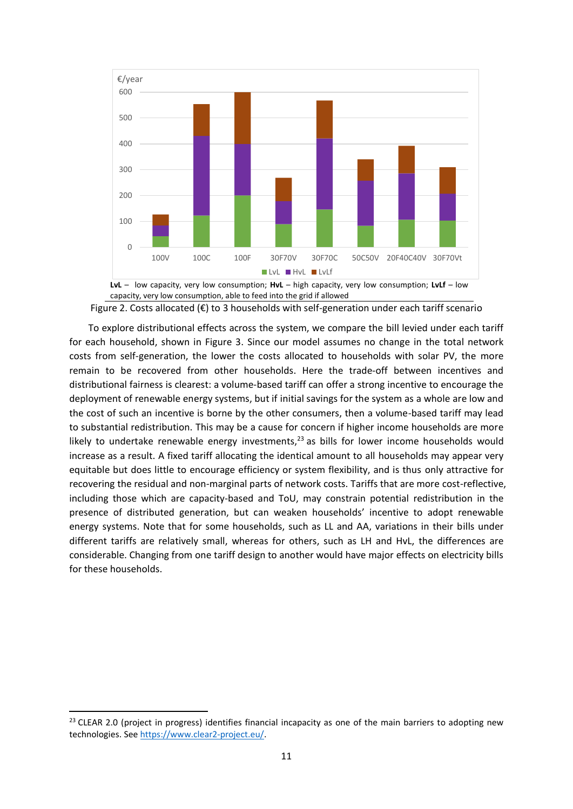

Figure 2. Costs allocated ( $\epsilon$ ) to 3 households with self-generation under each tariff scenario

To explore distributional effects across the system, we compare the bill levied under each tariff for each household, shown in Figure 3. Since our model assumes no change in the total network costs from self-generation, the lower the costs allocated to households with solar PV, the more remain to be recovered from other households. Here the trade-off between incentives and distributional fairness is clearest: a volume-based tariff can offer a strong incentive to encourage the deployment of renewable energy systems, but if initial savings for the system as a whole are low and the cost of such an incentive is borne by the other consumers, then a volume-based tariff may lead to substantial redistribution. This may be a cause for concern if higher income households are more likely to undertake renewable energy investments,<sup>23</sup> as bills for lower income households would increase as a result. A fixed tariff allocating the identical amount to all households may appear very equitable but does little to encourage efficiency or system flexibility, and is thus only attractive for recovering the residual and non-marginal parts of network costs. Tariffs that are more cost-reflective, including those which are capacity-based and ToU, may constrain potential redistribution in the presence of distributed generation, but can weaken households' incentive to adopt renewable energy systems. Note that for some households, such as LL and AA, variations in their bills under different tariffs are relatively small, whereas for others, such as LH and HvL, the differences are considerable. Changing from one tariff design to another would have major effects on electricity bills for these households.

<sup>&</sup>lt;sup>23</sup> CLEAR 2.0 (project in progress) identifies financial incapacity as one of the main barriers to adopting new technologies. Se[e https://www.clear2-project.eu/.](https://www.clear2-project.eu/)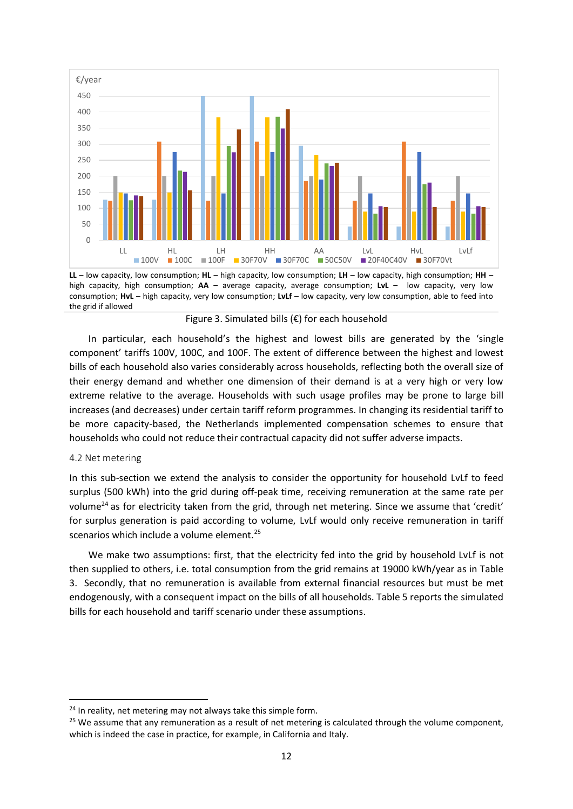

**LL** – low capacity, low consumption; **HL** – high capacity, low consumption; **LH** – low capacity, high consumption; **HH** – high capacity, high consumption; **AA** – average capacity, average consumption; **LvL** – low capacity, very low consumption; **HvL** – high capacity, very low consumption; **LvLf** – low capacity, very low consumption, able to feed into the grid if allowed

Figure 3. Simulated bills (€) for each household

In particular, each household's the highest and lowest bills are generated by the 'single component' tariffs 100V, 100C, and 100F. The extent of difference between the highest and lowest bills of each household also varies considerably across households, reflecting both the overall size of their energy demand and whether one dimension of their demand is at a very high or very low extreme relative to the average. Households with such usage profiles may be prone to large bill increases (and decreases) under certain tariff reform programmes. In changing its residential tariff to be more capacity-based, the Netherlands implemented compensation schemes to ensure that households who could not reduce their contractual capacity did not suffer adverse impacts.

### 4.2 Net metering

In this sub-section we extend the analysis to consider the opportunity for household LvLf to feed surplus (500 kWh) into the grid during off-peak time, receiving remuneration at the same rate per volume<sup>24</sup> as for electricity taken from the grid, through net metering. Since we assume that 'credit' for surplus generation is paid according to volume, LvLf would only receive remuneration in tariff scenarios which include a volume element.<sup>25</sup>

We make two assumptions: first, that the electricity fed into the grid by household LvLf is not then supplied to others, i.e. total consumption from the grid remains at 19000 kWh/year as in Table 3. Secondly, that no remuneration is available from external financial resources but must be met endogenously, with a consequent impact on the bills of all households. Table 5 reports the simulated bills for each household and tariff scenario under these assumptions.

<sup>&</sup>lt;sup>24</sup> In reality, net metering may not always take this simple form.

 $25$  We assume that any remuneration as a result of net metering is calculated through the volume component, which is indeed the case in practice, for example, in California and Italy.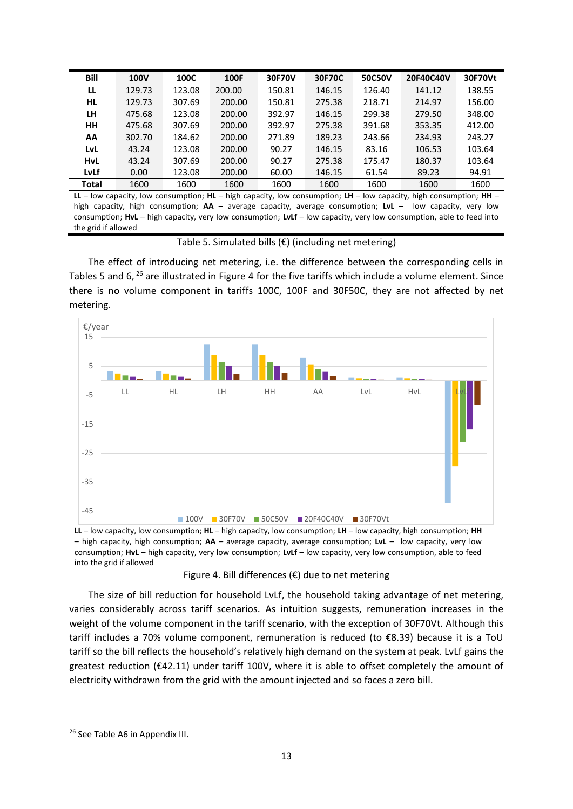| Bill         | <b>100V</b> | 100C   | 100F   | 30F70V | 30F70C | 50C50V | 20F40C40V | 30F70Vt |
|--------------|-------------|--------|--------|--------|--------|--------|-----------|---------|
| LL           | 129.73      | 123.08 | 200.00 | 150.81 | 146.15 | 126.40 | 141.12    | 138.55  |
| HL           | 129.73      | 307.69 | 200.00 | 150.81 | 275.38 | 218.71 | 214.97    | 156.00  |
| LH           | 475.68      | 123.08 | 200.00 | 392.97 | 146.15 | 299.38 | 279.50    | 348.00  |
| <b>HH</b>    | 475.68      | 307.69 | 200.00 | 392.97 | 275.38 | 391.68 | 353.35    | 412.00  |
| AA           | 302.70      | 184.62 | 200.00 | 271.89 | 189.23 | 243.66 | 234.93    | 243.27  |
| LvL          | 43.24       | 123.08 | 200.00 | 90.27  | 146.15 | 83.16  | 106.53    | 103.64  |
| <b>HvL</b>   | 43.24       | 307.69 | 200.00 | 90.27  | 275.38 | 175.47 | 180.37    | 103.64  |
| LyLf         | 0.00        | 123.08 | 200.00 | 60.00  | 146.15 | 61.54  | 89.23     | 94.91   |
| <b>Total</b> | 1600        | 1600   | 1600   | 1600   | 1600   | 1600   | 1600      | 1600    |

**LL** – low capacity, low consumption; **HL** – high capacity, low consumption; **LH** – low capacity, high consumption; **HH** – high capacity, high consumption; **AA** – average capacity, average consumption; **LvL** – low capacity, very low consumption; **HvL** – high capacity, very low consumption; **LvLf** – low capacity, very low consumption, able to feed into the grid if allowed

Table 5. Simulated bills  $(€)$  (including net metering)

The effect of introducing net metering, i.e. the difference between the corresponding cells in Tables 5 and 6, <sup>26</sup> are illustrated in Figure 4 for the five tariffs which include a volume element. Since there is no volume component in tariffs 100C, 100F and 30F50C, they are not affected by net metering.



**LL** – low capacity, low consumption; **HL** – high capacity, low consumption; **LH** – low capacity, high consumption; **HH** – high capacity, high consumption; **AA** – average capacity, average consumption; **LvL** – low capacity, very low consumption; **HvL** – high capacity, very low consumption; **LvLf** – low capacity, very low consumption, able to feed into the grid if allowed

Figure 4. Bill differences  $(\epsilon)$  due to net metering

The size of bill reduction for household LvLf, the household taking advantage of net metering, varies considerably across tariff scenarios. As intuition suggests, remuneration increases in the weight of the volume component in the tariff scenario, with the exception of 30F70Vt. Although this tariff includes a 70% volume component, remuneration is reduced (to €8.39) because it is a ToU tariff so the bill reflects the household's relatively high demand on the system at peak. LvLf gains the greatest reduction (€42.11) under tariff 100V, where it is able to offset completely the amount of electricity withdrawn from the grid with the amount injected and so faces a zero bill.

<sup>26</sup> See Table A6 in Appendix III.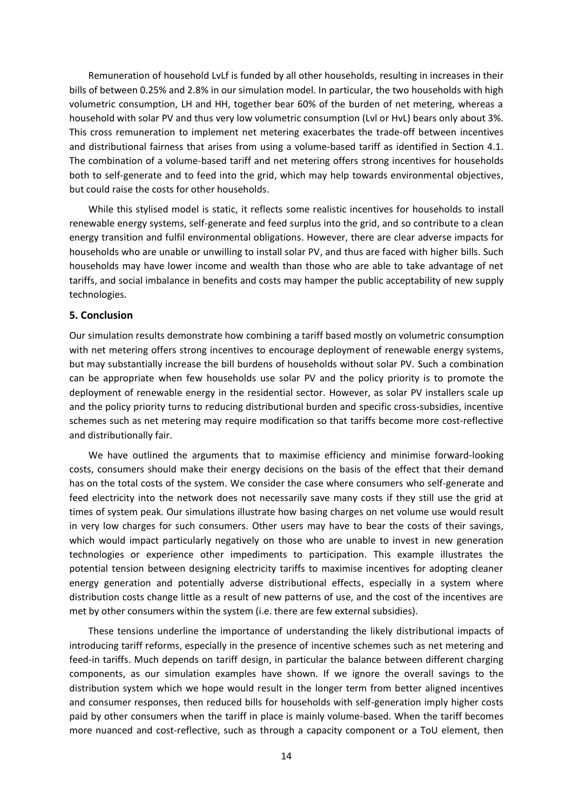Remuneration of household LvLf is funded by all other households, resulting in increases in their bills of between 0.25% and 2.8% in our simulation model. In particular, the two households with high volumetric consumption, LH and HH, together bear 60% of the burden of net metering, whereas a household with solar PV and thus very low volumetric consumption (Lvl or HvL) bears only about 3%. This cross remuneration to implement net metering exacerbates the trade-off between incentives and distributional fairness that arises from using a volume-based tariff as identified in Section 4.1. The combination of a volume-based tariff and net metering offers strong incentives for households both to self-generate and to feed into the grid, which may help towards environmental objectives, but could raise the costs for other households.

While this stylised model is static, it reflects some realistic incentives for households to install renewable energy systems, self-generate and feed surplus into the grid, and so contribute to a clean energy transition and fulfil environmental obligations. However, there are clear adverse impacts for households who are unable or unwilling to install solar PV, and thus are faced with higher bills. Such households may have lower income and wealth than those who are able to take advantage of net tariffs, and social imbalance in benefits and costs may hamper the public acceptability of new supply technologies.

### **5. Conclusion**

Our simulation results demonstrate how combining a tariff based mostly on volumetric consumption with net metering offers strong incentives to encourage deployment of renewable energy systems, but may substantially increase the bill burdens of households without solar PV. Such a combination can be appropriate when few households use solar PV and the policy priority is to promote the deployment of renewable energy in the residential sector. However, as solar PV installers scale up and the policy priority turns to reducing distributional burden and specific cross-subsidies, incentive schemes such as net metering may require modification so that tariffs become more cost-reflective and distributionally fair.

We have outlined the arguments that to maximise efficiency and minimise forward-looking costs, consumers should make their energy decisions on the basis of the effect that their demand has on the total costs of the system. We consider the case where consumers who self-generate and feed electricity into the network does not necessarily save many costs if they still use the grid at times of system peak. Our simulations illustrate how basing charges on net volume use would result in very low charges for such consumers. Other users may have to bear the costs of their savings, which would impact particularly negatively on those who are unable to invest in new generation technologies or experience other impediments to participation. This example illustrates the potential tension between designing electricity tariffs to maximise incentives for adopting cleaner energy generation and potentially adverse distributional effects, especially in a system where distribution costs change little as a result of new patterns of use, and the cost of the incentives are met by other consumers within the system (i.e. there are few external subsidies).

These tensions underline the importance of understanding the likely distributional impacts of introducing tariff reforms, especially in the presence of incentive schemes such as net metering and feed-in tariffs. Much depends on tariff design, in particular the balance between different charging components, as our simulation examples have shown. If we ignore the overall savings to the distribution system which we hope would result in the longer term from better aligned incentives and consumer responses, then reduced bills for households with self-generation imply higher costs paid by other consumers when the tariff in place is mainly volume-based. When the tariff becomes more nuanced and cost-reflective, such as through a capacity component or a ToU element, then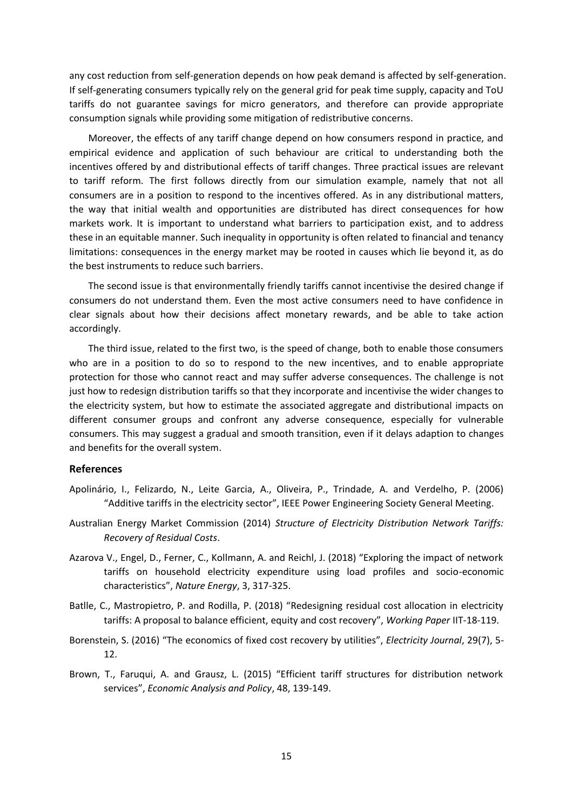any cost reduction from self-generation depends on how peak demand is affected by self-generation. If self-generating consumers typically rely on the general grid for peak time supply, capacity and ToU tariffs do not guarantee savings for micro generators, and therefore can provide appropriate consumption signals while providing some mitigation of redistributive concerns.

Moreover, the effects of any tariff change depend on how consumers respond in practice, and empirical evidence and application of such behaviour are critical to understanding both the incentives offered by and distributional effects of tariff changes. Three practical issues are relevant to tariff reform. The first follows directly from our simulation example, namely that not all consumers are in a position to respond to the incentives offered. As in any distributional matters, the way that initial wealth and opportunities are distributed has direct consequences for how markets work. It is important to understand what barriers to participation exist, and to address these in an equitable manner. Such inequality in opportunity is often related to financial and tenancy limitations: consequences in the energy market may be rooted in causes which lie beyond it, as do the best instruments to reduce such barriers.

The second issue is that environmentally friendly tariffs cannot incentivise the desired change if consumers do not understand them. Even the most active consumers need to have confidence in clear signals about how their decisions affect monetary rewards, and be able to take action accordingly.

The third issue, related to the first two, is the speed of change, both to enable those consumers who are in a position to do so to respond to the new incentives, and to enable appropriate protection for those who cannot react and may suffer adverse consequences. The challenge is not just how to redesign distribution tariffs so that they incorporate and incentivise the wider changes to the electricity system, but how to estimate the associated aggregate and distributional impacts on different consumer groups and confront any adverse consequence, especially for vulnerable consumers. This may suggest a gradual and smooth transition, even if it delays adaption to changes and benefits for the overall system.

### **References**

- Apolinário, I., Felizardo, N., Leite Garcia, A., Oliveira, P., Trindade, A. and Verdelho, P. (2006) "Additive tariffs in the electricity sector", IEEE Power Engineering Society General Meeting.
- Australian Energy Market Commission (2014) *Structure of Electricity Distribution Network Tariffs: Recovery of Residual Costs*.
- Azarova V., Engel, D., Ferner, C., Kollmann, A. and Reichl, J. (2018) "Exploring the impact of network tariffs on household electricity expenditure using load profiles and socio-economic characteristics", *Nature Energy*, 3, 317-325.
- Batlle, C., Mastropietro, P. and Rodilla, P. (2018) "Redesigning residual cost allocation in electricity tariffs: A proposal to balance efficient, equity and cost recovery", *Working Paper* IIT-18-119.
- Borenstein, S. (2016) "The economics of fixed cost recovery by utilities", *Electricity Journal*, 29(7), 5- 12.
- Brown, T., Faruqui, A. and Grausz, L. (2015) "Efficient tariff structures for distribution network services", *Economic Analysis and Policy*, 48, 139-149.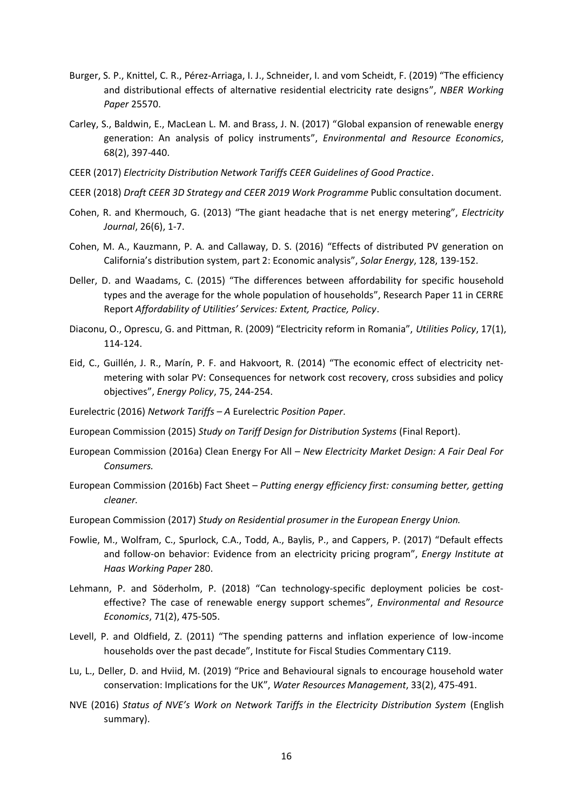- Burger, S. P., Knittel, C. R., Pérez-Arriaga, I. J., Schneider, I. and vom Scheidt, F. (2019) "The efficiency and distributional effects of alternative residential electricity rate designs", *NBER Working Paper* 25570.
- Carley, S., Baldwin, E., MacLean L. M. and Brass, J. N. (2017) "Global expansion of renewable energy generation: An analysis of policy instruments", *Environmental and Resource Economics*, 68(2), 397-440.
- CEER (2017) *Electricity Distribution Network Tariffs CEER Guidelines of Good Practice*.
- CEER (2018) *Draft CEER 3D Strategy and CEER 2019 Work Programme* Public consultation document.
- Cohen, R. and Khermouch, G. (2013) "The giant headache that is net energy metering", *Electricity Journal*, 26(6), 1-7.
- Cohen, M. A., Kauzmann, P. A. and Callaway, D. S. (2016) "Effects of distributed PV generation on California's distribution system, part 2: Economic analysis", *Solar Energy*, 128, 139-152.
- Deller, D. and Waadams, C. (2015) "The differences between affordability for specific household types and the average for the whole population of households", Research Paper 11 in CERRE Report *Affordability of Utilities' Services: Extent, Practice, Policy*.
- Diaconu, O., Oprescu, G. and Pittman, R. (2009) "Electricity reform in Romania", *Utilities Policy*, 17(1), 114-124.
- Eid, C., Guillén, J. R., Marín, P. F. and Hakvoort, R. (2014) "The economic effect of electricity netmetering with solar PV: Consequences for network cost recovery, cross subsidies and policy objectives", *Energy Policy*, 75, 244-254.
- Eurelectric (2016) *Network Tariffs – A* Eurelectric *Position Paper*.
- European Commission (2015) *Study on Tariff Design for Distribution Systems* (Final Report).
- European Commission (2016a) Clean Energy For All *New Electricity Market Design: A Fair Deal For Consumers.*
- European Commission (2016b) Fact Sheet *Putting energy efficiency first: consuming better, getting cleaner.*
- European Commission (2017) *Study on Residential prosumer in the European Energy Union.*
- Fowlie, M., Wolfram, C., Spurlock, C.A., Todd, A., Baylis, P., and Cappers, P. (2017) "Default effects and follow-on behavior: Evidence from an electricity pricing program", *Energy Institute at Haas Working Paper* 280.
- Lehmann, P. and Söderholm, P. (2018) "Can technology-specific deployment policies be costeffective? The case of renewable energy support schemes", *Environmental and Resource Economics*, 71(2), 475-505.
- Levell, P. and Oldfield, Z. (2011) "The spending patterns and inflation experience of low-income households over the past decade", Institute for Fiscal Studies Commentary C119.
- Lu, L., Deller, D. and Hviid, M. (2019) "Price and Behavioural signals to encourage household water conservation: Implications for the UK", *Water Resources Management*, 33(2), 475-491.
- NVE (2016) *Status of NVE's Work on Network Tariffs in the Electricity Distribution System* (English summary).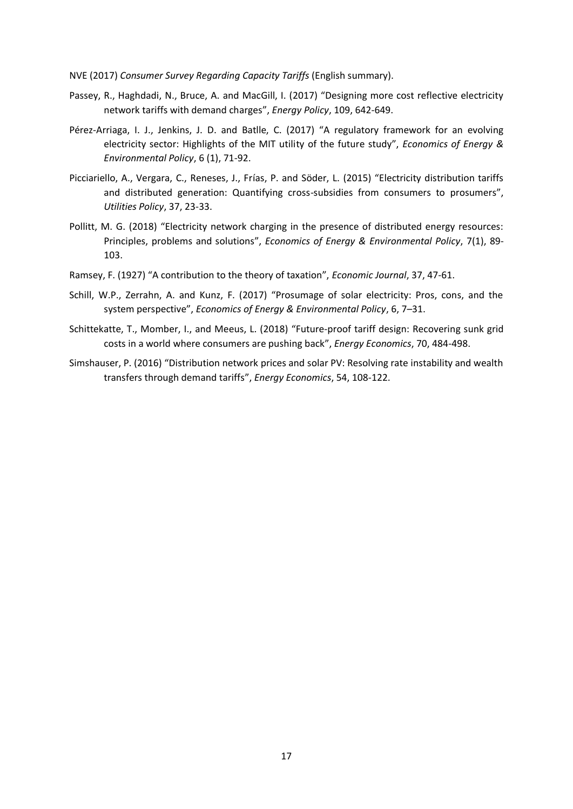NVE (2017) *Consumer Survey Regarding Capacity Tariffs* (English summary).

- Passey, R., Haghdadi, N., Bruce, A. and MacGill, I. (2017) "Designing more cost reflective electricity network tariffs with demand charges", *Energy Policy*, 109, 642-649.
- Pérez-Arriaga, I. J., Jenkins, J. D. and Batlle, C. (2017) "A regulatory framework for an evolving electricity sector: Highlights of the MIT utility of the future study", *Economics of Energy & Environmental Policy*, 6 (1), 71-92.
- Picciariello, A., Vergara, C., Reneses, J., Frías, P. and Söder, L. (2015) "Electricity distribution tariffs and distributed generation: Quantifying cross-subsidies from consumers to prosumers", *Utilities Policy*, 37, 23-33.
- Pollitt, M. G. (2018) "Electricity network charging in the presence of distributed energy resources: Principles, problems and solutions", *Economics of Energy & Environmental Policy*, 7(1), 89- 103.
- Ramsey, F. (1927) "A contribution to the theory of taxation", *Economic Journal*, 37, 47-61.
- Schill, W.P., Zerrahn, A. and Kunz, F. (2017) "Prosumage of solar electricity: Pros, cons, and the system perspective", *Economics of Energy & Environmental Policy*, 6, 7–31.
- Schittekatte, T., Momber, I., and Meeus, L. (2018) "Future-proof tariff design: Recovering sunk grid costs in a world where consumers are pushing back", *Energy Economics*, 70, 484-498.
- Simshauser, P. (2016) "Distribution network prices and solar PV: Resolving rate instability and wealth transfers through demand tariffs", *Energy Economics*, 54, 108-122.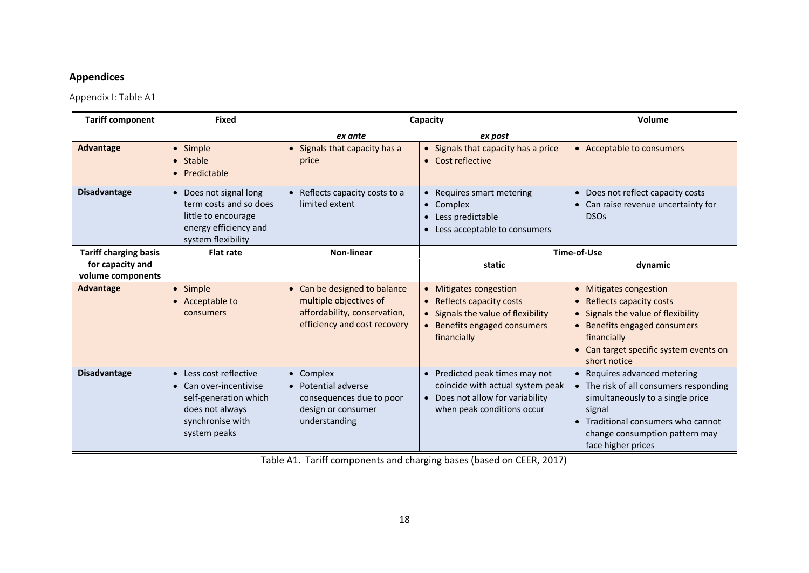## **Appendices**

Appendix I: Table A1

| <b>Tariff component</b>               | <b>Fixed</b>                                                                                                                     |                                                                                                                        | Capacity                                                                                                                                 | Volume                                                                                                                                                                                                             |
|---------------------------------------|----------------------------------------------------------------------------------------------------------------------------------|------------------------------------------------------------------------------------------------------------------------|------------------------------------------------------------------------------------------------------------------------------------------|--------------------------------------------------------------------------------------------------------------------------------------------------------------------------------------------------------------------|
|                                       |                                                                                                                                  | ex ante                                                                                                                | ex post                                                                                                                                  |                                                                                                                                                                                                                    |
| <b>Advantage</b>                      | · Simple<br>• Stable<br>• Predictable                                                                                            | • Signals that capacity has a<br>price                                                                                 | • Signals that capacity has a price<br>• Cost reflective                                                                                 | • Acceptable to consumers                                                                                                                                                                                          |
| <b>Disadvantage</b>                   | • Does not signal long<br>term costs and so does<br>little to encourage<br>energy efficiency and<br>system flexibility           | • Reflects capacity costs to a<br>limited extent                                                                       | • Requires smart metering<br>• Complex<br>• Less predictable<br>• Less acceptable to consumers                                           | • Does not reflect capacity costs<br>• Can raise revenue uncertainty for<br><b>DSOs</b>                                                                                                                            |
| <b>Tariff charging basis</b>          | <b>Flat rate</b>                                                                                                                 | <b>Non-linear</b>                                                                                                      |                                                                                                                                          | Time-of-Use                                                                                                                                                                                                        |
| for capacity and<br>volume components |                                                                                                                                  |                                                                                                                        | static                                                                                                                                   | dynamic                                                                                                                                                                                                            |
| <b>Advantage</b>                      | · Simple<br>• Acceptable to<br>consumers                                                                                         | • Can be designed to balance<br>multiple objectives of<br>affordability, conservation,<br>efficiency and cost recovery | • Mitigates congestion<br>• Reflects capacity costs<br>• Signals the value of flexibility<br>• Benefits engaged consumers<br>financially | • Mitigates congestion<br>Reflects capacity costs<br>• Signals the value of flexibility<br>• Benefits engaged consumers<br>financially<br>• Can target specific system events on<br>short notice                   |
| <b>Disadvantage</b>                   | • Less cost reflective<br>• Can over-incentivise<br>self-generation which<br>does not always<br>synchronise with<br>system peaks | • Complex<br>• Potential adverse<br>consequences due to poor<br>design or consumer<br>understanding                    | • Predicted peak times may not<br>coincide with actual system peak<br>• Does not allow for variability<br>when peak conditions occur     | • Requires advanced metering<br>• The risk of all consumers responding<br>simultaneously to a single price<br>signal<br>• Traditional consumers who cannot<br>change consumption pattern may<br>face higher prices |

Table A1. Tariff components and charging bases (based on CEER, 2017)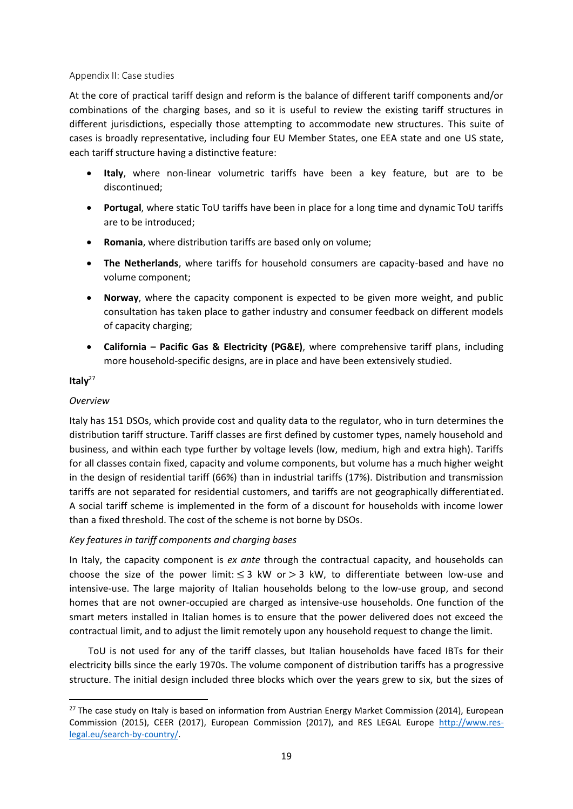### Appendix II: Case studies

At the core of practical tariff design and reform is the balance of different tariff components and/or combinations of the charging bases, and so it is useful to review the existing tariff structures in different jurisdictions, especially those attempting to accommodate new structures. This suite of cases is broadly representative, including four EU Member States, one EEA state and one US state, each tariff structure having a distinctive feature:

- **Italy**, where non-linear volumetric tariffs have been a key feature, but are to be discontinued;
- **Portugal**, where static ToU tariffs have been in place for a long time and dynamic ToU tariffs are to be introduced;
- **Romania**, where distribution tariffs are based only on volume;
- **The Netherlands**, where tariffs for household consumers are capacity-based and have no volume component;
- **Norway**, where the capacity component is expected to be given more weight, and public consultation has taken place to gather industry and consumer feedback on different models of capacity charging;
- **California – Pacific Gas & Electricity (PG&E)**, where comprehensive tariff plans, including more household-specific designs, are in place and have been extensively studied.

### **Italy**<sup>27</sup>

### *Overview*

Italy has 151 DSOs, which provide cost and quality data to the regulator, who in turn determines the distribution tariff structure. Tariff classes are first defined by customer types, namely household and business, and within each type further by voltage levels (low, medium, high and extra high). Tariffs for all classes contain fixed, capacity and volume components, but volume has a much higher weight in the design of residential tariff (66%) than in industrial tariffs (17%). Distribution and transmission tariffs are not separated for residential customers, and tariffs are not geographically differentiated. A social tariff scheme is implemented in the form of a discount for households with income lower than a fixed threshold. The cost of the scheme is not borne by DSOs.

### *Key features in tariff components and charging bases*

In Italy, the capacity component is *ex ante* through the contractual capacity, and households can choose the size of the power limit:  $\leq$  3 kW or  $>$  3 kW, to differentiate between low-use and intensive-use. The large majority of Italian households belong to the low-use group, and second homes that are not owner-occupied are charged as intensive-use households. One function of the smart meters installed in Italian homes is to ensure that the power delivered does not exceed the contractual limit, and to adjust the limit remotely upon any household request to change the limit.

ToU is not used for any of the tariff classes, but Italian households have faced IBTs for their electricity bills since the early 1970s. The volume component of distribution tariffs has a progressive structure. The initial design included three blocks which over the years grew to six, but the sizes of

<sup>&</sup>lt;sup>27</sup> The case study on Italy is based on information from Austrian Energy Market Commission (2014), European Commission (2015), CEER (2017), European Commission (2017), and RES LEGAL Europe [http://www.res](http://www.res-legal.eu/search-by-country/)[legal.eu/search-by-country/.](http://www.res-legal.eu/search-by-country/)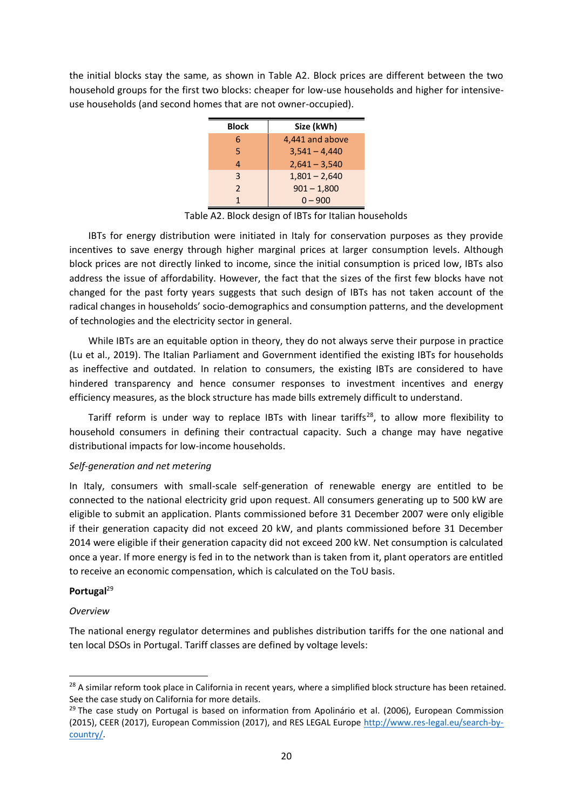the initial blocks stay the same, as shown in Table A2. Block prices are different between the two household groups for the first two blocks: cheaper for low-use households and higher for intensiveuse households (and second homes that are not owner-occupied).

| <b>Block</b> | Size (kWh)      |
|--------------|-----------------|
| 6            | 4,441 and above |
| 5            | $3,541 - 4,440$ |
| 4            | $2,641 - 3,540$ |
| 3            | $1,801 - 2,640$ |
| 2            | $901 - 1,800$   |
| 1            | $0 - 900$       |

Table A2. Block design of IBTs for Italian households

IBTs for energy distribution were initiated in Italy for conservation purposes as they provide incentives to save energy through higher marginal prices at larger consumption levels. Although block prices are not directly linked to income, since the initial consumption is priced low, IBTs also address the issue of affordability. However, the fact that the sizes of the first few blocks have not changed for the past forty years suggests that such design of IBTs has not taken account of the radical changes in households' socio-demographics and consumption patterns, and the development of technologies and the electricity sector in general.

While IBTs are an equitable option in theory, they do not always serve their purpose in practice (Lu et al., 2019). The Italian Parliament and Government identified the existing IBTs for households as ineffective and outdated. In relation to consumers, the existing IBTs are considered to have hindered transparency and hence consumer responses to investment incentives and energy efficiency measures, as the block structure has made bills extremely difficult to understand.

Tariff reform is under way to replace IBTs with linear tariffs<sup>28</sup>, to allow more flexibility to household consumers in defining their contractual capacity. Such a change may have negative distributional impacts for low-income households.

### *Self-generation and net metering*

In Italy, consumers with small-scale self-generation of renewable energy are entitled to be connected to the national electricity grid upon request. All consumers generating up to 500 kW are eligible to submit an application. Plants commissioned before 31 December 2007 were only eligible if their generation capacity did not exceed 20 kW, and plants commissioned before 31 December 2014 were eligible if their generation capacity did not exceed 200 kW. Net consumption is calculated once a year. If more energy is fed in to the network than is taken from it, plant operators are entitled to receive an economic compensation, which is calculated on the ToU basis.

### **Portugal**<sup>29</sup>

### *Overview*

The national energy regulator determines and publishes distribution tariffs for the one national and ten local DSOs in Portugal. Tariff classes are defined by voltage levels:

<sup>&</sup>lt;sup>28</sup> A similar reform took place in California in recent years, where a simplified block structure has been retained. See the case study on California for more details.

<sup>&</sup>lt;sup>29</sup> The case study on Portugal is based on information from Apolinário et al. (2006), European Commission (2015), CEER (2017), European Commission (2017), and RES LEGAL Europe [http://www.res-legal.eu/search-by](http://www.res-legal.eu/search-by-country/)[country/.](http://www.res-legal.eu/search-by-country/)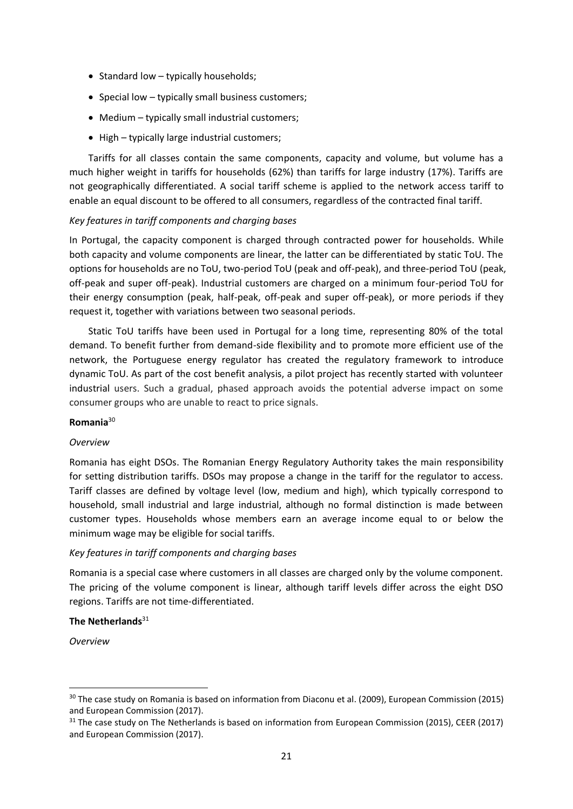- Standard low typically households;
- Special low typically small business customers;
- Medium typically small industrial customers;
- High typically large industrial customers;

Tariffs for all classes contain the same components, capacity and volume, but volume has a much higher weight in tariffs for households (62%) than tariffs for large industry (17%). Tariffs are not geographically differentiated. A social tariff scheme is applied to the network access tariff to enable an equal discount to be offered to all consumers, regardless of the contracted final tariff.

### *Key features in tariff components and charging bases*

In Portugal, the capacity component is charged through contracted power for households. While both capacity and volume components are linear, the latter can be differentiated by static ToU. The options for households are no ToU, two-period ToU (peak and off-peak), and three-period ToU (peak, off-peak and super off-peak). Industrial customers are charged on a minimum four-period ToU for their energy consumption (peak, half-peak, off-peak and super off-peak), or more periods if they request it, together with variations between two seasonal periods.

Static ToU tariffs have been used in Portugal for a long time, representing 80% of the total demand. To benefit further from demand-side flexibility and to promote more efficient use of the network, the Portuguese energy regulator has created the regulatory framework to introduce dynamic ToU. As part of the cost benefit analysis, a pilot project has recently started with volunteer industrial users. Such a gradual, phased approach avoids the potential adverse impact on some consumer groups who are unable to react to price signals.

### **Romania**<sup>30</sup>

### *Overview*

Romania has eight DSOs. The Romanian Energy Regulatory Authority takes the main responsibility for setting distribution tariffs. DSOs may propose a change in the tariff for the regulator to access. Tariff classes are defined by voltage level (low, medium and high), which typically correspond to household, small industrial and large industrial, although no formal distinction is made between customer types. Households whose members earn an average income equal to or below the minimum wage may be eligible for social tariffs.

### *Key features in tariff components and charging bases*

Romania is a special case where customers in all classes are charged only by the volume component. The pricing of the volume component is linear, although tariff levels differ across the eight DSO regions. Tariffs are not time-differentiated.

### **The Netherlands**<sup>31</sup>

*Overview* 

<sup>&</sup>lt;sup>30</sup> The case study on Romania is based on information from Diaconu et al. (2009), European Commission (2015) and European Commission (2017).

 $31$  The case study on The Netherlands is based on information from European Commission (2015), CEER (2017) and European Commission (2017).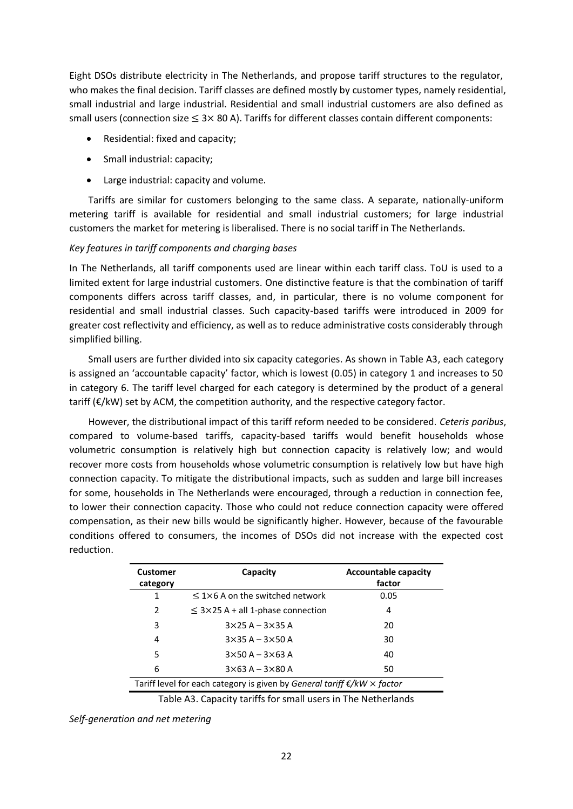Eight DSOs distribute electricity in The Netherlands, and propose tariff structures to the regulator, who makes the final decision. Tariff classes are defined mostly by customer types, namely residential, small industrial and large industrial. Residential and small industrial customers are also defined as small users (connection size  $\leq$  3× 80 A). Tariffs for different classes contain different components:

- Residential: fixed and capacity;
- Small industrial: capacity;
- Large industrial: capacity and volume.

Tariffs are similar for customers belonging to the same class. A separate, nationally-uniform metering tariff is available for residential and small industrial customers; for large industrial customers the market for metering is liberalised. There is no social tariff in The Netherlands.

### *Key features in tariff components and charging bases*

In The Netherlands, all tariff components used are linear within each tariff class. ToU is used to a limited extent for large industrial customers. One distinctive feature is that the combination of tariff components differs across tariff classes, and, in particular, there is no volume component for residential and small industrial classes. Such capacity-based tariffs were introduced in 2009 for greater cost reflectivity and efficiency, as well as to reduce administrative costs considerably through simplified billing.

Small users are further divided into six capacity categories. As shown in Table A3, each category is assigned an 'accountable capacity' factor, which is lowest (0.05) in category 1 and increases to 50 in category 6. The tariff level charged for each category is determined by the product of a general tariff  $(\varepsilon/kW)$  set by ACM, the competition authority, and the respective category factor.

However, the distributional impact of this tariff reform needed to be considered. *Ceteris paribus*, compared to volume-based tariffs, capacity-based tariffs would benefit households whose volumetric consumption is relatively high but connection capacity is relatively low; and would recover more costs from households whose volumetric consumption is relatively low but have high connection capacity. To mitigate the distributional impacts, such as sudden and large bill increases for some, households in The Netherlands were encouraged, through a reduction in connection fee, to lower their connection capacity. Those who could not reduce connection capacity were offered compensation, as their new bills would be significantly higher. However, because of the favourable conditions offered to consumers, the incomes of DSOs did not increase with the expected cost reduction.

| <b>Customer</b><br>category | Capacity                                                                              | <b>Accountable capacity</b><br>factor |
|-----------------------------|---------------------------------------------------------------------------------------|---------------------------------------|
| 1                           | $\leq$ 1×6 A on the switched network                                                  | 0.05                                  |
| 2                           | $\leq$ 3×25 A + all 1-phase connection                                                | 4                                     |
| 3                           | $3 \times 25$ A – $3 \times 35$ A                                                     | 20                                    |
| 4                           | $3\times35$ A - $3\times50$ A                                                         | 30                                    |
| 5                           | $3\times50$ A $-3\times63$ A                                                          | 40                                    |
| 6                           | $3\times 63$ A $-3\times 80$ A                                                        | 50                                    |
|                             | Tariff level for each category is given by General tariff $\epsilon/kW \times$ factor |                                       |

Table A3. Capacity tariffs for small users in The Netherlands

*Self-generation and net metering*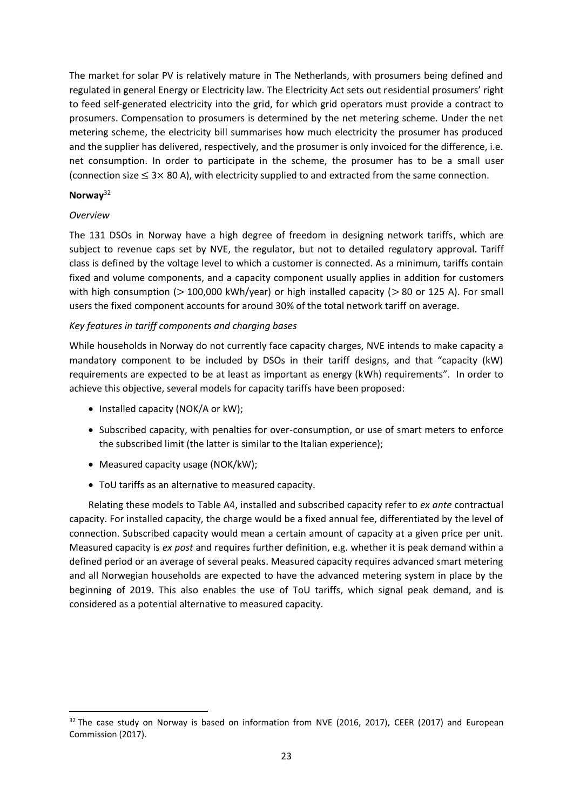The market for solar PV is relatively mature in The Netherlands, with prosumers being defined and regulated in general Energy or Electricity law. The Electricity Act sets out residential prosumers' right to feed self-generated electricity into the grid, for which grid operators must provide a contract to prosumers. Compensation to prosumers is determined by the net metering scheme. Under the net metering scheme, the electricity bill summarises how much electricity the prosumer has produced and the supplier has delivered, respectively, and the prosumer is only invoiced for the difference, i.e. net consumption. In order to participate in the scheme, the prosumer has to be a small user (connection size  $\leq 3 \times 80$  A), with electricity supplied to and extracted from the same connection.

### **Norway**<sup>32</sup>

### *Overview*

The 131 DSOs in Norway have a high degree of freedom in designing network tariffs, which are subject to revenue caps set by NVE, the regulator, but not to detailed regulatory approval. Tariff class is defined by the voltage level to which a customer is connected. As a minimum, tariffs contain fixed and volume components, and a capacity component usually applies in addition for customers with high consumption ( $> 100,000$  kWh/year) or high installed capacity ( $> 80$  or 125 A). For small users the fixed component accounts for around 30% of the total network tariff on average.

### *Key features in tariff components and charging bases*

While households in Norway do not currently face capacity charges, NVE intends to make capacity a mandatory component to be included by DSOs in their tariff designs, and that "capacity (kW) requirements are expected to be at least as important as energy (kWh) requirements". In order to achieve this objective, several models for capacity tariffs have been proposed:

- Installed capacity (NOK/A or kW);
- Subscribed capacity, with penalties for over-consumption, or use of smart meters to enforce the subscribed limit (the latter is similar to the Italian experience);
- Measured capacity usage (NOK/kW);
- ToU tariffs as an alternative to measured capacity.

Relating these models to Table A4, installed and subscribed capacity refer to *ex ante* contractual capacity. For installed capacity, the charge would be a fixed annual fee, differentiated by the level of connection. Subscribed capacity would mean a certain amount of capacity at a given price per unit. Measured capacity is *ex post* and requires further definition, e.g. whether it is peak demand within a defined period or an average of several peaks. Measured capacity requires advanced smart metering and all Norwegian households are expected to have the advanced metering system in place by the beginning of 2019. This also enables the use of ToU tariffs, which signal peak demand, and is considered as a potential alternative to measured capacity.

 $32$  The case study on Norway is based on information from NVE (2016, 2017), CEER (2017) and European Commission (2017).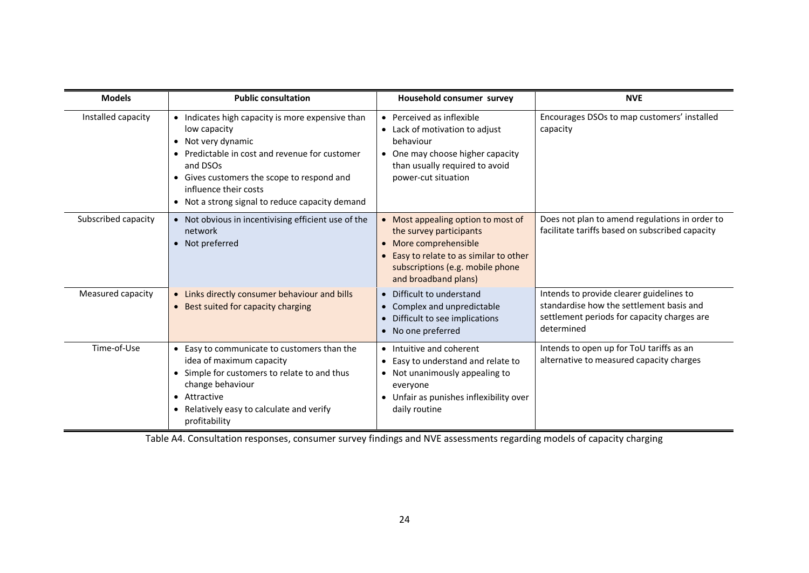| <b>Models</b>       | <b>Public consultation</b>                                                                                                                                                                                                                                                                | Household consumer survey                                                                                                                                                                   | <b>NVE</b>                                                                                                                                        |
|---------------------|-------------------------------------------------------------------------------------------------------------------------------------------------------------------------------------------------------------------------------------------------------------------------------------------|---------------------------------------------------------------------------------------------------------------------------------------------------------------------------------------------|---------------------------------------------------------------------------------------------------------------------------------------------------|
| Installed capacity  | Indicates high capacity is more expensive than<br>$\bullet$<br>low capacity<br>• Not very dynamic<br>• Predictable in cost and revenue for customer<br>and DSOs<br>• Gives customers the scope to respond and<br>influence their costs<br>• Not a strong signal to reduce capacity demand | • Perceived as inflexible<br>Lack of motivation to adjust<br>behaviour<br>One may choose higher capacity<br>than usually required to avoid<br>power-cut situation                           | Encourages DSOs to map customers' installed<br>capacity                                                                                           |
| Subscribed capacity | • Not obvious in incentivising efficient use of the<br>network<br>• Not preferred                                                                                                                                                                                                         | • Most appealing option to most of<br>the survey participants<br>• More comprehensible<br>Easy to relate to as similar to other<br>subscriptions (e.g. mobile phone<br>and broadband plans) | Does not plan to amend regulations in order to<br>facilitate tariffs based on subscribed capacity                                                 |
| Measured capacity   | • Links directly consumer behaviour and bills<br>• Best suited for capacity charging                                                                                                                                                                                                      | Difficult to understand<br>Complex and unpredictable<br>Difficult to see implications<br>$\bullet$<br>• No one preferred                                                                    | Intends to provide clearer guidelines to<br>standardise how the settlement basis and<br>settlement periods for capacity charges are<br>determined |
| Time-of-Use         | • Easy to communicate to customers than the<br>idea of maximum capacity<br>Simple for customers to relate to and thus<br>$\bullet$<br>change behaviour<br>• Attractive<br>• Relatively easy to calculate and verify<br>profitability                                                      | • Intuitive and coherent<br>Easy to understand and relate to<br>Not unanimously appealing to<br>$\bullet$<br>everyone<br>Unfair as punishes inflexibility over<br>daily routine             | Intends to open up for ToU tariffs as an<br>alternative to measured capacity charges                                                              |

Table A4. Consultation responses, consumer survey findings and NVE assessments regarding models of capacity charging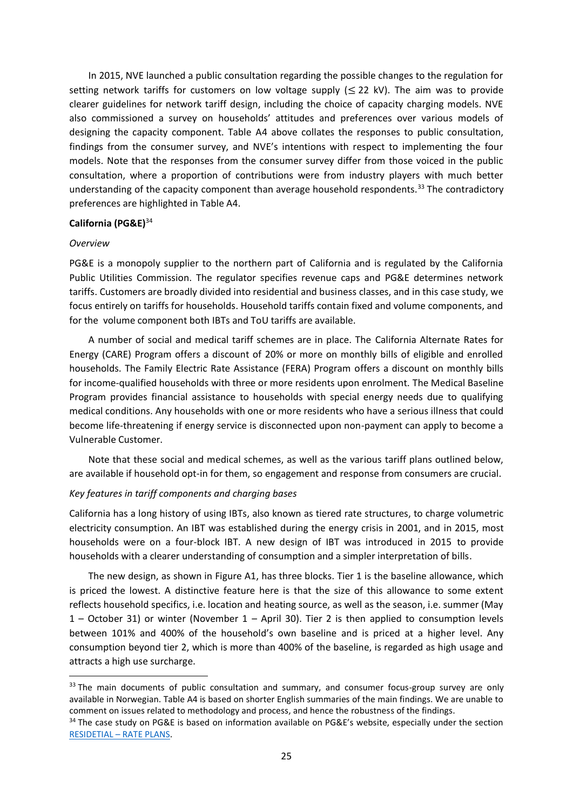In 2015, NVE launched a public consultation regarding the possible changes to the regulation for setting network tariffs for customers on low voltage supply  $(\leq 22 \text{ kV})$ . The aim was to provide clearer guidelines for network tariff design, including the choice of capacity charging models. NVE also commissioned a survey on households' attitudes and preferences over various models of designing the capacity component. Table A4 above collates the responses to public consultation, findings from the consumer survey, and NVE's intentions with respect to implementing the four models. Note that the responses from the consumer survey differ from those voiced in the public consultation, where a proportion of contributions were from industry players with much better understanding of the capacity component than average household respondents.<sup>33</sup> The contradictory preferences are highlighted in Table A4.

### **California (PG&E)**<sup>34</sup>

### *Overview*

PG&E is a monopoly supplier to the northern part of California and is regulated by the California Public Utilities Commission. The regulator specifies revenue caps and PG&E determines network tariffs. Customers are broadly divided into residential and business classes, and in this case study, we focus entirely on tariffs for households. Household tariffs contain fixed and volume components, and for the volume component both IBTs and ToU tariffs are available.

A number of social and medical tariff schemes are in place. The California Alternate Rates for Energy (CARE) Program offers a discount of 20% or more on monthly bills of eligible and enrolled households. The Family Electric Rate Assistance (FERA) Program offers a discount on monthly bills for income-qualified households with three or more residents upon enrolment. The Medical Baseline Program provides financial assistance to households with special energy needs due to qualifying medical conditions. Any households with one or more residents who have a serious illness that could become life-threatening if energy service is disconnected upon non-payment can apply to become a Vulnerable Customer.

Note that these social and medical schemes, as well as the various tariff plans outlined below, are available if household opt-in for them, so engagement and response from consumers are crucial.

### *Key features in tariff components and charging bases*

California has a long history of using IBTs, also known as tiered rate structures, to charge volumetric electricity consumption. An IBT was established during the energy crisis in 2001, and in 2015, most households were on a four-block IBT. A new design of IBT was introduced in 2015 to provide households with a clearer understanding of consumption and a simpler interpretation of bills.

The new design, as shown in Figure A1, has three blocks. Tier 1 is the baseline allowance, which is priced the lowest. A distinctive feature here is that the size of this allowance to some extent reflects household specifics, i.e. location and heating source, as well as the season, i.e. summer (May 1 – October 31) or winter (November 1 – April 30). Tier 2 is then applied to consumption levels between 101% and 400% of the household's own baseline and is priced at a higher level. Any consumption beyond tier 2, which is more than 400% of the baseline, is regarded as high usage and attracts a high use surcharge.

<sup>&</sup>lt;sup>33</sup> The main documents of public consultation and summary, and consumer focus-group survey are only available in Norwegian. Table A4 is based on shorter English summaries of the main findings. We are unable to comment on issues related to methodology and process, and hence the robustness of the findings.

<sup>&</sup>lt;sup>34</sup> The case study on PG&E is based on information available on PG&E's website, especially under the section RESIDETIAL – [RATE PLANS.](https://www.pge.com/en_US/residential/rate-plans/rate-plan-options/understanding-rate-plans/understanding-rate-plans.page)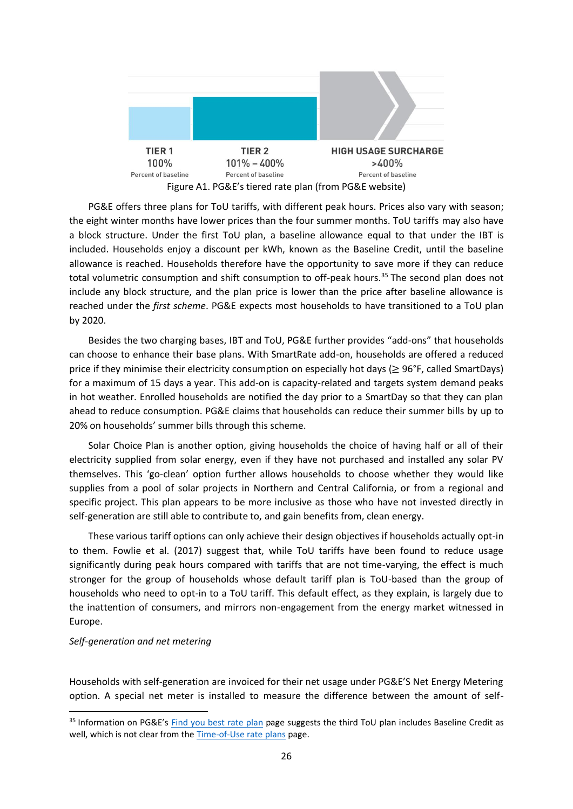

PG&E offers three plans for ToU tariffs, with different peak hours. Prices also vary with season; the eight winter months have lower prices than the four summer months. ToU tariffs may also have a block structure. Under the first ToU plan, a baseline allowance equal to that under the IBT is included. Households enjoy a discount per kWh, known as the Baseline Credit, until the baseline allowance is reached. Households therefore have the opportunity to save more if they can reduce total volumetric consumption and shift consumption to off-peak hours.<sup>35</sup> The second plan does not include any block structure, and the plan price is lower than the price after baseline allowance is reached under the *first scheme*. PG&E expects most households to have transitioned to a ToU plan by 2020.

Besides the two charging bases, IBT and ToU, PG&E further provides "add-ons" that households can choose to enhance their base plans. With SmartRate add-on, households are offered a reduced price if they minimise their electricity consumption on especially hot days ( $\geq$  96°F, called SmartDays) for a maximum of 15 days a year. This add-on is capacity-related and targets system demand peaks in hot weather. Enrolled households are notified the day prior to a SmartDay so that they can plan ahead to reduce consumption. PG&E claims that households can reduce their summer bills by up to 20% on households' summer bills through this scheme.

Solar Choice Plan is another option, giving households the choice of having half or all of their electricity supplied from solar energy, even if they have not purchased and installed any solar PV themselves. This 'go-clean' option further allows households to choose whether they would like supplies from a pool of solar projects in Northern and Central California, or from a regional and specific project. This plan appears to be more inclusive as those who have not invested directly in self-generation are still able to contribute to, and gain benefits from, clean energy.

These various tariff options can only achieve their design objectives if households actually opt-in to them. Fowlie et al. (2017) suggest that, while ToU tariffs have been found to reduce usage significantly during peak hours compared with tariffs that are not time-varying, the effect is much stronger for the group of households whose default tariff plan is ToU-based than the group of households who need to opt-in to a ToU tariff. This default effect, as they explain, is largely due to the inattention of consumers, and mirrors non-engagement from the energy market witnessed in Europe.

### *Self-generation and net metering*

Households with self-generation are invoiced for their net usage under PG&E'S Net Energy Metering option. A special net meter is installed to measure the difference between the amount of self-

<sup>&</sup>lt;sup>35</sup> Information on PG&E's [Find you best rate](https://www.pge.com/en_US/residential/rate-plans/how-rates-work/find-my-best-rate-plan.page) plan page suggests the third ToU plan includes Baseline Credit as well, which is not clear from the [Time-of-Use rate plans](https://www.pge.com/en_US/residential/rate-plans/rate-plan-options/time-of-use-base-plan/not-enrolled.page) page.